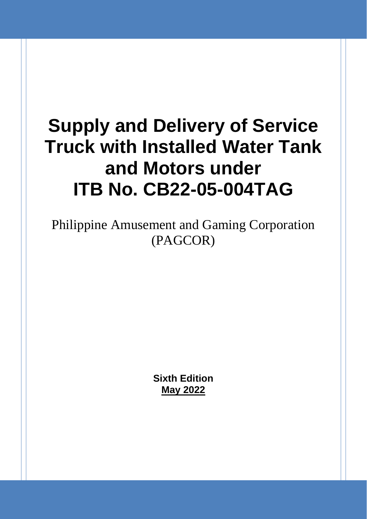# **Supply and Delivery of Service Truck with Installed Water Tank and Motors under ITB No. CB22-05-004TAG**

Philippine Amusement and Gaming Corporation (PAGCOR)

> **Sixth Edition May 2022**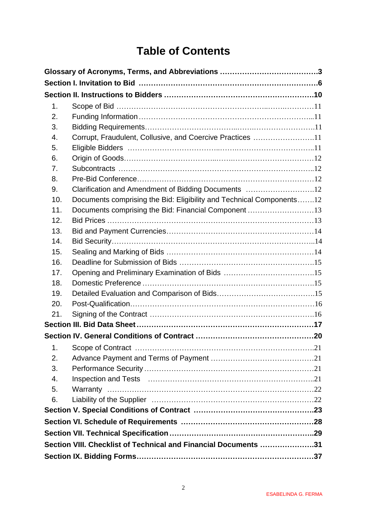# **Table of Contents**

| 1.  |                                                                      |  |
|-----|----------------------------------------------------------------------|--|
| 2.  |                                                                      |  |
| 3.  |                                                                      |  |
| 4.  | Corrupt, Fraudulent, Collusive, and Coercive Practices 11            |  |
| 5.  |                                                                      |  |
| 6.  |                                                                      |  |
| 7.  |                                                                      |  |
| 8.  |                                                                      |  |
| 9.  | Clarification and Amendment of Bidding Documents 12                  |  |
| 10. | Documents comprising the Bid: Eligibility and Technical Components12 |  |
| 11. | Documents comprising the Bid: Financial Component 13                 |  |
| 12. |                                                                      |  |
| 13. |                                                                      |  |
| 14. |                                                                      |  |
| 15. |                                                                      |  |
| 16. |                                                                      |  |
| 17. |                                                                      |  |
| 18. |                                                                      |  |
| 19. |                                                                      |  |
| 20. |                                                                      |  |
| 21. |                                                                      |  |
|     |                                                                      |  |
|     |                                                                      |  |
| 1.  |                                                                      |  |
| 2.  |                                                                      |  |
| 3.  |                                                                      |  |
| 4.  |                                                                      |  |
| 5.  |                                                                      |  |
| 6.  |                                                                      |  |
|     |                                                                      |  |
|     |                                                                      |  |
|     |                                                                      |  |
|     | Section VIII. Checklist of Technical and Financial Documents 31      |  |
|     |                                                                      |  |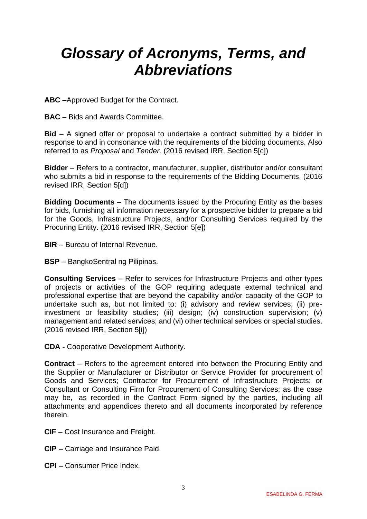# <span id="page-2-0"></span>*Glossary of Acronyms, Terms, and Abbreviations*

**ABC** –Approved Budget for the Contract.

**BAC** – Bids and Awards Committee.

**Bid** – A signed offer or proposal to undertake a contract submitted by a bidder in response to and in consonance with the requirements of the bidding documents. Also referred to as *Proposal* and *Tender.* (2016 revised IRR, Section 5[c])

**Bidder** – Refers to a contractor, manufacturer, supplier, distributor and/or consultant who submits a bid in response to the requirements of the Bidding Documents. (2016 revised IRR, Section 5[d])

**Bidding Documents –** The documents issued by the Procuring Entity as the bases for bids, furnishing all information necessary for a prospective bidder to prepare a bid for the Goods, Infrastructure Projects, and/or Consulting Services required by the Procuring Entity. (2016 revised IRR, Section 5[e])

**BIR** – Bureau of Internal Revenue.

**BSP** – BangkoSentral ng Pilipinas.

**Consulting Services** – Refer to services for Infrastructure Projects and other types of projects or activities of the GOP requiring adequate external technical and professional expertise that are beyond the capability and/or capacity of the GOP to undertake such as, but not limited to: (i) advisory and review services; (ii) preinvestment or feasibility studies; (iii) design; (iv) construction supervision; (v) management and related services; and (vi) other technical services or special studies. (2016 revised IRR, Section 5[i])

**CDA -** Cooperative Development Authority.

**Contract** – Refers to the agreement entered into between the Procuring Entity and the Supplier or Manufacturer or Distributor or Service Provider for procurement of Goods and Services; Contractor for Procurement of Infrastructure Projects; or Consultant or Consulting Firm for Procurement of Consulting Services; as the case may be, as recorded in the Contract Form signed by the parties, including all attachments and appendices thereto and all documents incorporated by reference therein.

- **CIF –** Cost Insurance and Freight.
- **CIP –** Carriage and Insurance Paid.
- **CPI –** Consumer Price Index.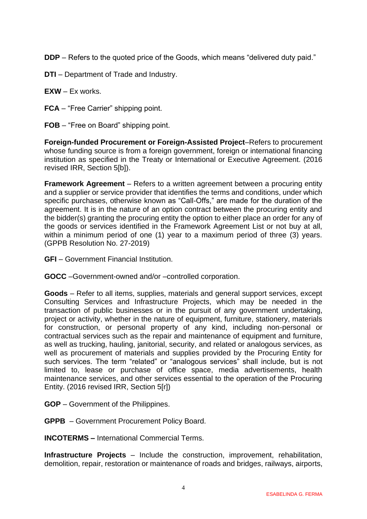**DDP** – Refers to the quoted price of the Goods, which means "delivered duty paid."

- **DTI**  Department of Trade and Industry.
- **EXW** Ex works.
- **FCA** "Free Carrier" shipping point.
- **FOB** "Free on Board" shipping point.

**Foreign-funded Procurement or Foreign-Assisted Project**–Refers to procurement whose funding source is from a foreign government, foreign or international financing institution as specified in the Treaty or International or Executive Agreement. (2016 revised IRR, Section 5[b]).

**Framework Agreement** – Refers to a written agreement between a procuring entity and a supplier or service provider that identifies the terms and conditions, under which specific purchases, otherwise known as "Call-Offs," are made for the duration of the agreement. It is in the nature of an option contract between the procuring entity and the bidder(s) granting the procuring entity the option to either place an order for any of the goods or services identified in the Framework Agreement List or not buy at all, within a minimum period of one (1) year to a maximum period of three (3) years. (GPPB Resolution No. 27-2019)

**GFI** – Government Financial Institution.

**GOCC** –Government-owned and/or –controlled corporation.

**Goods** – Refer to all items, supplies, materials and general support services, except Consulting Services and Infrastructure Projects, which may be needed in the transaction of public businesses or in the pursuit of any government undertaking, project or activity, whether in the nature of equipment, furniture, stationery, materials for construction, or personal property of any kind, including non-personal or contractual services such as the repair and maintenance of equipment and furniture, as well as trucking, hauling, janitorial, security, and related or analogous services, as well as procurement of materials and supplies provided by the Procuring Entity for such services. The term "related" or "analogous services" shall include, but is not limited to, lease or purchase of office space, media advertisements, health maintenance services, and other services essential to the operation of the Procuring Entity. (2016 revised IRR, Section 5[r])

- **GOP**  Government of the Philippines.
- **GPPB**  Government Procurement Policy Board.

**INCOTERMS –** International Commercial Terms.

**Infrastructure Projects** – Include the construction, improvement, rehabilitation, demolition, repair, restoration or maintenance of roads and bridges, railways, airports,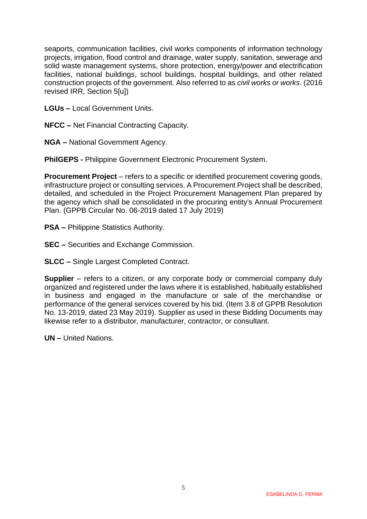seaports, communication facilities, civil works components of information technology projects, irrigation, flood control and drainage, water supply, sanitation, sewerage and solid waste management systems, shore protection, energy/power and electrification facilities, national buildings, school buildings, hospital buildings, and other related construction projects of the government. Also referred to as *civil works or works*. (2016 revised IRR, Section 5[u])

**LGUs –** Local Government Units.

**NFCC –** Net Financial Contracting Capacity.

**NGA –** National Government Agency.

**PhilGEPS -** Philippine Government Electronic Procurement System.

**Procurement Project** – refers to a specific or identified procurement covering goods, infrastructure project or consulting services. A Procurement Project shall be described, detailed, and scheduled in the Project Procurement Management Plan prepared by the agency which shall be consolidated in the procuring entity's Annual Procurement Plan. (GPPB Circular No. 06-2019 dated 17 July 2019)

- **PSA –** Philippine Statistics Authority.
- **SEC –** Securities and Exchange Commission.

**SLCC –** Single Largest Completed Contract.

**Supplier** – refers to a citizen, or any corporate body or commercial company duly organized and registered under the laws where it is established, habitually established in business and engaged in the manufacture or sale of the merchandise or performance of the general services covered by his bid. (Item 3.8 of GPPB Resolution No. 13-2019, dated 23 May 2019). Supplier as used in these Bidding Documents may likewise refer to a distributor, manufacturer, contractor, or consultant.

**UN –** United Nations.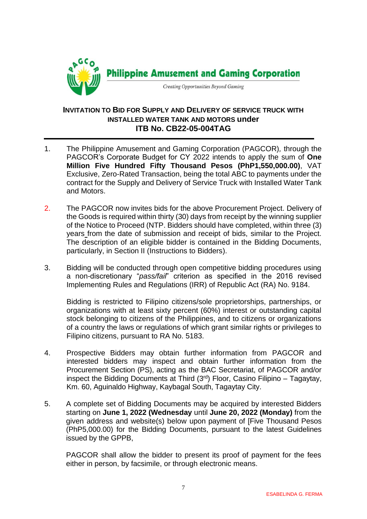

#### **INVITATION TO BID FOR SUPPLY AND DELIVERY OF SERVICE TRUCK WITH INSTALLED WATER TANK AND MOTORS under ITB No. CB22-05-004TAG**

- 1. The Philippine Amusement and Gaming Corporation (PAGCOR)*,* through the PAGCOR's Corporate Budget for CY 2022 intends to apply the sum of **One Million Five Hundred Fifty Thousand Pesos (PhP1,550,000.00)**, VAT Exclusive, Zero-Rated Transaction, being the total ABC to payments under the contract for the Supply and Delivery of Service Truck with Installed Water Tank and Motors.
- 2. The PAGCOR now invites bids for the above Procurement Project. Delivery of the Goods is required within thirty (30) days from receipt by the winning supplier of the Notice to Proceed (NTP. Bidders should have completed, within three (3) years from the date of submission and receipt of bids, similar to the Project. The description of an eligible bidder is contained in the Bidding Documents, particularly, in Section II (Instructions to Bidders).
- 3. Bidding will be conducted through open competitive bidding procedures using a non-discretionary "*pass/fail*" criterion as specified in the 2016 revised Implementing Rules and Regulations (IRR) of Republic Act (RA) No. 9184.

Bidding is restricted to Filipino citizens/sole proprietorships, partnerships, or organizations with at least sixty percent (60%) interest or outstanding capital stock belonging to citizens of the Philippines, and to citizens or organizations of a country the laws or regulations of which grant similar rights or privileges to Filipino citizens, pursuant to RA No. 5183.

- 4. Prospective Bidders may obtain further information from PAGCOR and interested bidders may inspect and obtain further information from the Procurement Section (PS), acting as the BAC Secretariat, of PAGCOR and/or inspect the Bidding Documents at Third  $(3<sup>rd</sup>)$  Floor, Casino Filipino – Tagaytay, Km. 60, Aguinaldo Highway, Kaybagal South, Tagaytay City.
- 5. A complete set of Bidding Documents may be acquired by interested Bidders starting on **June 1, 2022 (Wednesday** until **June 20, 2022 (Monday)** from the given address and website(s) below upon payment of [Five Thousand Pesos (PhP5,000.00) for the Bidding Documents, pursuant to the latest Guidelines issued by the GPPB,

PAGCOR shall allow the bidder to present its proof of payment for the fees either in person, by facsimile, or through electronic means.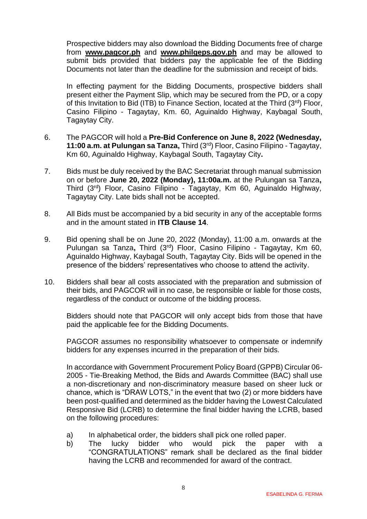Prospective bidders may also download the Bidding Documents free of charge from **[www.pagcor.ph](http://www.pagcor.ph/)** and **www.philgeps.gov.ph** and may be allowed to submit bids provided that bidders pay the applicable fee of the Bidding Documents not later than the deadline for the submission and receipt of bids.

In effecting payment for the Bidding Documents, prospective bidders shall present either the Payment Slip, which may be secured from the PD, or a copy of this Invitation to Bid (ITB) to Finance Section, located at the Third  $(3^{rd})$  Floor, Casino Filipino - Tagaytay, Km. 60, Aguinaldo Highway, Kaybagal South, Tagaytay City.

- 6. The PAGCOR will hold a **Pre-Bid Conference on June 8, 2022 (Wednesday, 11:00 a.m. at Pulungan sa Tanza,** Third (3rd) Floor, Casino Filipino - Tagaytay, Km 60, Aguinaldo Highway, Kaybagal South, Tagaytay City**.**
- 7. Bids must be duly received by the BAC Secretariat through manual submission on or before **June 20, 2022 (Monday), 11:00a.m.** at the Pulungan sa Tanza**,**  Third (3rd) Floor, Casino Filipino - Tagaytay, Km 60, Aguinaldo Highway, Tagaytay City. Late bids shall not be accepted.
- 8. All Bids must be accompanied by a bid security in any of the acceptable forms and in the amount stated in **ITB Clause 14**.
- 9. Bid opening shall be on June 20, 2022 (Monday), 11:00 a.m. onwards at the Pulungan sa Tanza**,** Third (3rd) Floor, Casino Filipino - Tagaytay, Km 60, Aguinaldo Highway, Kaybagal South, Tagaytay City. Bids will be opened in the presence of the bidders' representatives who choose to attend the activity.
- 10. Bidders shall bear all costs associated with the preparation and submission of their bids, and PAGCOR will in no case, be responsible or liable for those costs, regardless of the conduct or outcome of the bidding process.

Bidders should note that PAGCOR will only accept bids from those that have paid the applicable fee for the Bidding Documents.

PAGCOR assumes no responsibility whatsoever to compensate or indemnify bidders for any expenses incurred in the preparation of their bids.

In accordance with Government Procurement Policy Board (GPPB) Circular 06- 2005 - Tie-Breaking Method, the Bids and Awards Committee (BAC) shall use a non-discretionary and non-discriminatory measure based on sheer luck or chance, which is "DRAW LOTS," in the event that two (2) or more bidders have been post-qualified and determined as the bidder having the Lowest Calculated Responsive Bid (LCRB) to determine the final bidder having the LCRB, based on the following procedures:

- a) In alphabetical order, the bidders shall pick one rolled paper.
- b) The lucky bidder who would pick the paper with a "CONGRATULATIONS" remark shall be declared as the final bidder having the LCRB and recommended for award of the contract.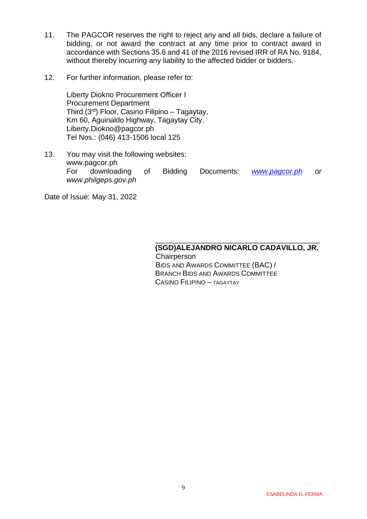- 11. The PAGCOR reserves the right to reject any and all bids, declare a failure of bidding, or not award the contract at any time prior to contract award in accordance with Sections 35.6 and 41 of the 2016 revised IRR of RA No. 9184, without thereby incurring any liability to the affected bidder or bidders.
- 12. For further information, please refer to:

Liberty Diokno Procurement Officer I Procurement Department Third (3rd) Floor, Casino Filipino – Tagaytay, Km 60, Aguinaldo Highway, Tagaytay City. Liberty.Diokno@pagcor.ph Tel Nos.: (046) 413-1506 local 125

13. You may visit the following websites: www.pagcor.ph For downloading of Bidding Documents: *[www.pagcor.ph](http://www.pagcor.ph/) or www.philgeps.gov.ph*

 $\frac{1}{\sqrt{2\pi}}$  , which is the contract of the contract of the contract of the contract of the contract of the contract of the contract of the contract of the contract of the contract of the contract of the contract of the

Date of Issue: May 31, 2022

#### **(SGD)ALEJANDRO NICARLO CADAVILLO, JR. Chairperson**  BIDS AND AWARDS COMMITTEE (BAC) / BRANCH BIDS AND AWARDS COMMITTEE

CASINO FILIPINO – TAGAYTAY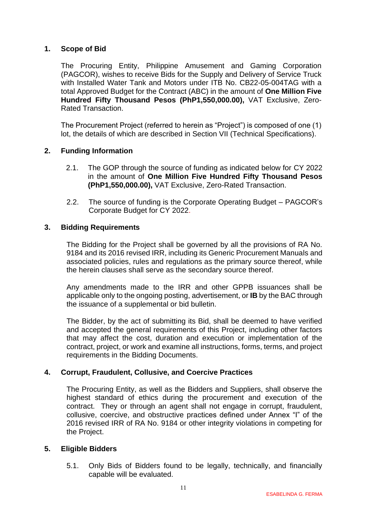#### <span id="page-10-0"></span>**1. Scope of Bid**

The Procuring Entity, Philippine Amusement and Gaming Corporation (PAGCOR), wishes to receive Bids for the Supply and Delivery of Service Truck with Installed Water Tank and Motors under ITB No. CB22-05-004TAG with a total Approved Budget for the Contract (ABC) in the amount of **One Million Five Hundred Fifty Thousand Pesos (PhP1,550,000.00),** VAT Exclusive, Zero-Rated Transaction.

The Procurement Project (referred to herein as "Project") is composed of one (1) lot, the details of which are described in Section VII (Technical Specifications).

#### <span id="page-10-1"></span>**2. Funding Information**

- 2.1. The GOP through the source of funding as indicated below for CY 2022 in the amount of **One Million Five Hundred Fifty Thousand Pesos (PhP1,550,000.00),** VAT Exclusive, Zero-Rated Transaction.
- 2.2. The source of funding is the Corporate Operating Budget PAGCOR's Corporate Budget for CY 2022.

#### <span id="page-10-2"></span>**3. Bidding Requirements**

The Bidding for the Project shall be governed by all the provisions of RA No. 9184 and its 2016 revised IRR, including its Generic Procurement Manuals and associated policies, rules and regulations as the primary source thereof, while the herein clauses shall serve as the secondary source thereof.

Any amendments made to the IRR and other GPPB issuances shall be applicable only to the ongoing posting, advertisement, or **IB** by the BAC through the issuance of a supplemental or bid bulletin.

The Bidder, by the act of submitting its Bid, shall be deemed to have verified and accepted the general requirements of this Project, including other factors that may affect the cost, duration and execution or implementation of the contract, project, or work and examine all instructions, forms, terms, and project requirements in the Bidding Documents.

#### <span id="page-10-3"></span>**4. Corrupt, Fraudulent, Collusive, and Coercive Practices**

The Procuring Entity, as well as the Bidders and Suppliers, shall observe the highest standard of ethics during the procurement and execution of the contract. They or through an agent shall not engage in corrupt, fraudulent, collusive, coercive, and obstructive practices defined under Annex "I" of the 2016 revised IRR of RA No. 9184 or other integrity violations in competing for the Project.

#### <span id="page-10-4"></span>**5. Eligible Bidders**

5.1. Only Bids of Bidders found to be legally, technically, and financially capable will be evaluated.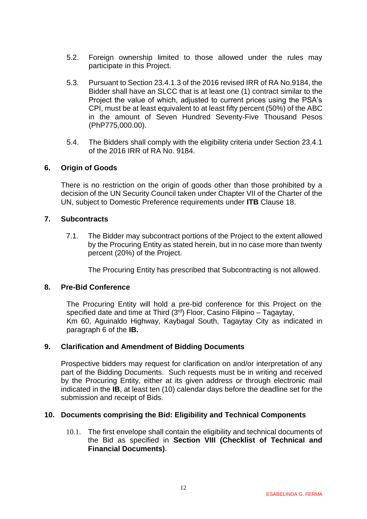- 5.2. Foreign ownership limited to those allowed under the rules may participate in this Project.
- 5.3. Pursuant to Section 23.4.1.3 of the 2016 revised IRR of RA No.9184, the Bidder shall have an SLCC that is at least one (1) contract similar to the Project the value of which, adjusted to current prices using the PSA's CPI, must be at least equivalent to at least fifty percent (50%) of the ABC in the amount of Seven Hundred Seventy-Five Thousand Pesos (PhP775,000.00).
- 5.4. The Bidders shall comply with the eligibility criteria under Section 23.4.1 of the 2016 IRR of RA No. 9184.

#### <span id="page-11-0"></span>**6. Origin of Goods**

There is no restriction on the origin of goods other than those prohibited by a decision of the UN Security Council taken under Chapter VII of the Charter of the UN, subject to Domestic Preference requirements under **ITB** Clause 18.

#### <span id="page-11-1"></span>**7. Subcontracts**

7.1. The Bidder may subcontract portions of the Project to the extent allowed by the Procuring Entity as stated herein, but in no case more than twenty percent (20%) of the Project.

The Procuring Entity has prescribed that Subcontracting is not allowed.

#### <span id="page-11-2"></span>**8. Pre-Bid Conference**

The Procuring Entity will hold a pre-bid conference for this Project on the specified date and time at Third (3<sup>rd</sup>) Floor, Casino Filipino – Tagaytay, Km 60, Aguinaldo Highway, Kaybagal South, Tagaytay City as indicated in paragraph 6 of the **IB.**

#### <span id="page-11-3"></span>**9. Clarification and Amendment of Bidding Documents**

Prospective bidders may request for clarification on and/or interpretation of any part of the Bidding Documents. Such requests must be in writing and received by the Procuring Entity, either at its given address or through electronic mail indicated in the **IB**, at least ten (10) calendar days before the deadline set for the submission and receipt of Bids.

#### <span id="page-11-4"></span>**10. Documents comprising the Bid: Eligibility and Technical Components**

10.1. The first envelope shall contain the eligibility and technical documents of the Bid as specified in **Section VIII (Checklist of Technical and Financial Documents)**.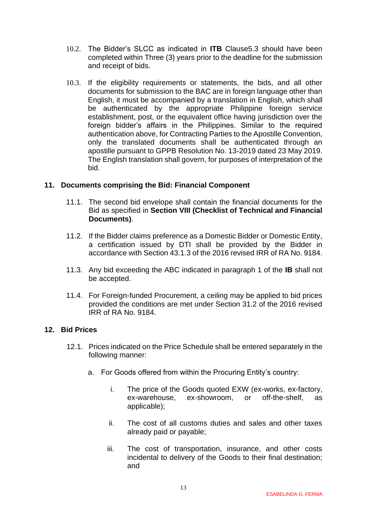- 10.2. The Bidder's SLCC as indicated in **ITB** Clause5.3 should have been completed within Three (3) years prior to the deadline for the submission and receipt of bids.
- 10.3. If the eligibility requirements or statements, the bids, and all other documents for submission to the BAC are in foreign language other than English, it must be accompanied by a translation in English, which shall be authenticated by the appropriate Philippine foreign service establishment, post, or the equivalent office having jurisdiction over the foreign bidder's affairs in the Philippines. Similar to the required authentication above, for Contracting Parties to the Apostille Convention, only the translated documents shall be authenticated through an apostille pursuant to GPPB Resolution No. 13-2019 dated 23 May 2019. The English translation shall govern, for purposes of interpretation of the bid.

#### <span id="page-12-0"></span>**11. Documents comprising the Bid: Financial Component**

- 11.1. The second bid envelope shall contain the financial documents for the Bid as specified in **Section VIII (Checklist of Technical and Financial Documents)**.
- 11.2. If the Bidder claims preference as a Domestic Bidder or Domestic Entity, a certification issued by DTI shall be provided by the Bidder in accordance with Section 43.1.3 of the 2016 revised IRR of RA No. 9184.
- 11.3. Any bid exceeding the ABC indicated in paragraph 1 of the **IB** shall not be accepted.
- 11.4. For Foreign-funded Procurement, a ceiling may be applied to bid prices provided the conditions are met under Section 31.2 of the 2016 revised IRR of RA No. 9184.

#### <span id="page-12-1"></span>**12. Bid Prices**

- 12.1. Prices indicated on the Price Schedule shall be entered separately in the following manner:
	- a. For Goods offered from within the Procuring Entity's country:
		- i. The price of the Goods quoted EXW (ex-works, ex-factory, ex-warehouse, ex-showroom, or off-the-shelf, as applicable);
		- ii. The cost of all customs duties and sales and other taxes already paid or payable;
		- iii. The cost of transportation, insurance, and other costs incidental to delivery of the Goods to their final destination; and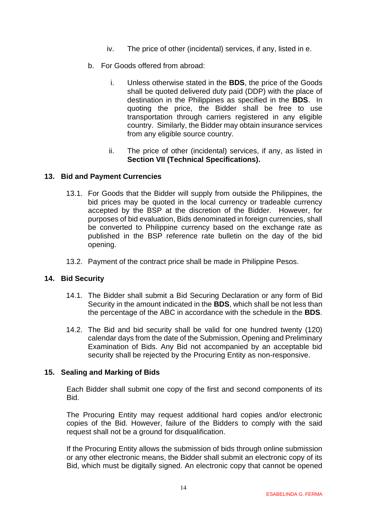- iv. The price of other (incidental) services, if any, listed in e.
- b. For Goods offered from abroad:
	- i. Unless otherwise stated in the **BDS**, the price of the Goods shall be quoted delivered duty paid (DDP) with the place of destination in the Philippines as specified in the **BDS**. In quoting the price, the Bidder shall be free to use transportation through carriers registered in any eligible country. Similarly, the Bidder may obtain insurance services from any eligible source country.
	- ii. The price of other (incidental) services, if any, as listed in **Section VII (Technical Specifications).**

#### <span id="page-13-0"></span>**13. Bid and Payment Currencies**

- 13.1. For Goods that the Bidder will supply from outside the Philippines, the bid prices may be quoted in the local currency or tradeable currency accepted by the BSP at the discretion of the Bidder. However, for purposes of bid evaluation, Bids denominated in foreign currencies, shall be converted to Philippine currency based on the exchange rate as published in the BSP reference rate bulletin on the day of the bid opening.
- 13.2. Payment of the contract price shall be made in Philippine Pesos.

#### <span id="page-13-1"></span>**14. Bid Security**

- 14.1. The Bidder shall submit a Bid Securing Declaration or any form of Bid Security in the amount indicated in the **BDS**, which shall be not less than the percentage of the ABC in accordance with the schedule in the **BDS**.
- 14.2. The Bid and bid security shall be valid for one hundred twenty (120) calendar days from the date of the Submission, Opening and Preliminary Examination of Bids. Any Bid not accompanied by an acceptable bid security shall be rejected by the Procuring Entity as non-responsive.

#### <span id="page-13-2"></span>**15. Sealing and Marking of Bids**

Each Bidder shall submit one copy of the first and second components of its Bid.

The Procuring Entity may request additional hard copies and/or electronic copies of the Bid. However, failure of the Bidders to comply with the said request shall not be a ground for disqualification.

If the Procuring Entity allows the submission of bids through online submission or any other electronic means, the Bidder shall submit an electronic copy of its Bid, which must be digitally signed. An electronic copy that cannot be opened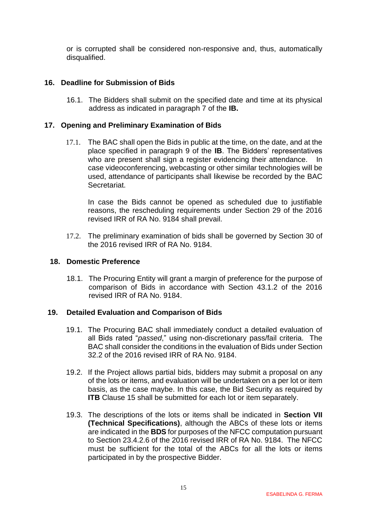or is corrupted shall be considered non-responsive and, thus, automatically disqualified.

#### <span id="page-14-0"></span>**16. Deadline for Submission of Bids**

16.1. The Bidders shall submit on the specified date and time at its physical address as indicated in paragraph 7 of the **IB.** 

#### <span id="page-14-1"></span>**17. Opening and Preliminary Examination of Bids**

17.1. The BAC shall open the Bids in public at the time, on the date, and at the place specified in paragraph 9 of the **IB**. The Bidders' representatives who are present shall sign a register evidencing their attendance. In case videoconferencing, webcasting or other similar technologies will be used, attendance of participants shall likewise be recorded by the BAC Secretariat.

In case the Bids cannot be opened as scheduled due to justifiable reasons, the rescheduling requirements under Section 29 of the 2016 revised IRR of RA No. 9184 shall prevail.

17.2. The preliminary examination of bids shall be governed by Section 30 of the 2016 revised IRR of RA No. 9184.

#### <span id="page-14-2"></span>**18. Domestic Preference**

18.1. The Procuring Entity will grant a margin of preference for the purpose of comparison of Bids in accordance with Section 43.1.2 of the 2016 revised IRR of RA No. 9184.

#### <span id="page-14-3"></span>**19. Detailed Evaluation and Comparison of Bids**

- 19.1. The Procuring BAC shall immediately conduct a detailed evaluation of all Bids rated "*passed*," using non-discretionary pass/fail criteria. The BAC shall consider the conditions in the evaluation of Bids under Section 32.2 of the 2016 revised IRR of RA No. 9184.
- 19.2. If the Project allows partial bids, bidders may submit a proposal on any of the lots or items, and evaluation will be undertaken on a per lot or item basis, as the case maybe. In this case, the Bid Security as required by **ITB** Clause 15 shall be submitted for each lot or item separately.
- 19.3. The descriptions of the lots or items shall be indicated in **Section VII (Technical Specifications)**, although the ABCs of these lots or items are indicated in the **BDS** for purposes of the NFCC computation pursuant to Section 23.4.2.6 of the 2016 revised IRR of RA No. 9184. The NFCC must be sufficient for the total of the ABCs for all the lots or items participated in by the prospective Bidder.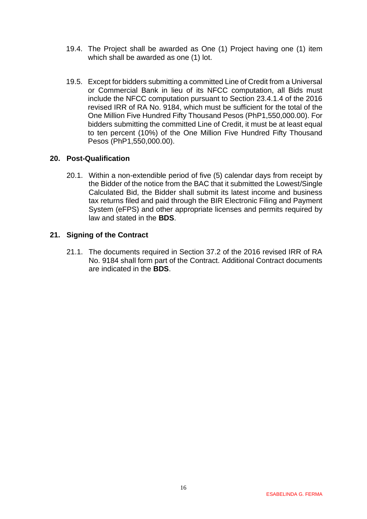- 19.4. The Project shall be awarded as One (1) Project having one (1) item which shall be awarded as one (1) lot.
- 19.5. Except for bidders submitting a committed Line of Credit from a Universal or Commercial Bank in lieu of its NFCC computation, all Bids must include the NFCC computation pursuant to Section 23.4.1.4 of the 2016 revised IRR of RA No. 9184, which must be sufficient for the total of the One Million Five Hundred Fifty Thousand Pesos (PhP1,550,000.00). For bidders submitting the committed Line of Credit, it must be at least equal to ten percent (10%) of the One Million Five Hundred Fifty Thousand Pesos (PhP1,550,000.00).

#### <span id="page-15-0"></span>**20. Post-Qualification**

20.1. Within a non-extendible period of five (5) calendar days from receipt by the Bidder of the notice from the BAC that it submitted the Lowest/Single Calculated Bid, the Bidder shall submit its latest income and business tax returns filed and paid through the BIR Electronic Filing and Payment System (eFPS) and other appropriate licenses and permits required by law and stated in the **BDS**.

#### <span id="page-15-1"></span>**21. Signing of the Contract**

21.1. The documents required in Section 37.2 of the 2016 revised IRR of RA No. 9184 shall form part of the Contract. Additional Contract documents are indicated in the **BDS**.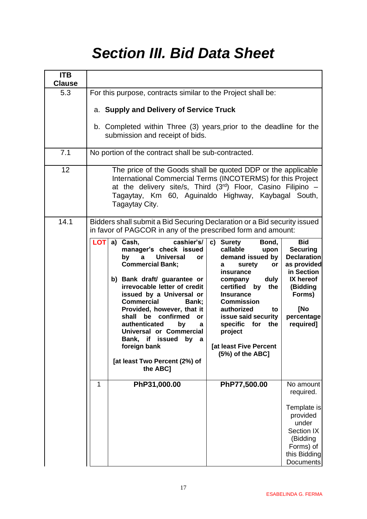# *Section III. Bid Data Sheet*

<span id="page-16-0"></span>

| <b>ITB</b><br><b>Clause</b> |                                                                                                                                                                                                                                                                                                                                                                                                                                                                                                                                                                                                                                                                                                                                                                                         |                                                                                                                                                       |  |  |  |
|-----------------------------|-----------------------------------------------------------------------------------------------------------------------------------------------------------------------------------------------------------------------------------------------------------------------------------------------------------------------------------------------------------------------------------------------------------------------------------------------------------------------------------------------------------------------------------------------------------------------------------------------------------------------------------------------------------------------------------------------------------------------------------------------------------------------------------------|-------------------------------------------------------------------------------------------------------------------------------------------------------|--|--|--|
| 5.3                         | For this purpose, contracts similar to the Project shall be:                                                                                                                                                                                                                                                                                                                                                                                                                                                                                                                                                                                                                                                                                                                            |                                                                                                                                                       |  |  |  |
|                             | a. Supply and Delivery of Service Truck                                                                                                                                                                                                                                                                                                                                                                                                                                                                                                                                                                                                                                                                                                                                                 |                                                                                                                                                       |  |  |  |
|                             | b. Completed within Three (3) years prior to the deadline for the<br>submission and receipt of bids.                                                                                                                                                                                                                                                                                                                                                                                                                                                                                                                                                                                                                                                                                    |                                                                                                                                                       |  |  |  |
| 7.1                         | No portion of the contract shall be sub-contracted.                                                                                                                                                                                                                                                                                                                                                                                                                                                                                                                                                                                                                                                                                                                                     |                                                                                                                                                       |  |  |  |
| 12                          | The price of the Goods shall be quoted DDP or the applicable<br>International Commercial Terms (INCOTERMS) for this Project<br>at the delivery site/s, Third $(3^{rd})$ Floor, Casino Filipino -<br>Tagaytay, Km 60, Aguinaldo Highway, Kaybagal South,<br>Tagaytay City.                                                                                                                                                                                                                                                                                                                                                                                                                                                                                                               |                                                                                                                                                       |  |  |  |
| 14.1                        | Bidders shall submit a Bid Securing Declaration or a Bid security issued<br>in favor of PAGCOR in any of the prescribed form and amount:                                                                                                                                                                                                                                                                                                                                                                                                                                                                                                                                                                                                                                                |                                                                                                                                                       |  |  |  |
|                             | $LOT$ a) Cash,<br>cashier's/<br>c) Surety<br>Bond,<br>manager's check issued<br>callable<br>upon<br><b>Universal</b><br>demand issued by<br>by<br>$\mathbf{a}$<br>or<br><b>Commercial Bank;</b><br>surety<br>or<br>а<br>insurance<br>duly<br>b) Bank draft/ guarantee or<br>company<br>irrevocable letter of credit<br>certified by the<br>issued by a Universal or<br><b>Insurance</b><br><b>Commercial</b><br><b>Commission</b><br>Bank;<br>Provided, however, that it<br>authorized<br>to<br>be confirmed<br>shall<br>issue said security<br>or<br>authenticated<br>the<br>by<br>specific<br>for<br>a<br>Universal or Commercial<br>project<br>Bank, if issued<br>by<br>a<br>[at least Five Percent<br>foreign bank<br>(5%) of the ABC]<br>[at least Two Percent (2%) of<br>the ABC] | <b>Bid</b><br><b>Securing</b><br><b>Declaration</b><br>as provided<br>in Section<br>IX hereof<br>(Bidding<br>Forms)<br>[No<br>percentage<br>required] |  |  |  |
|                             | PhP31,000.00<br>PhP77,500.00<br>1                                                                                                                                                                                                                                                                                                                                                                                                                                                                                                                                                                                                                                                                                                                                                       | No amount<br>required.<br>Template is<br>provided                                                                                                     |  |  |  |
|                             |                                                                                                                                                                                                                                                                                                                                                                                                                                                                                                                                                                                                                                                                                                                                                                                         | under<br>Section IX<br>(Bidding<br>Forms) of<br>this Bidding<br>Documents                                                                             |  |  |  |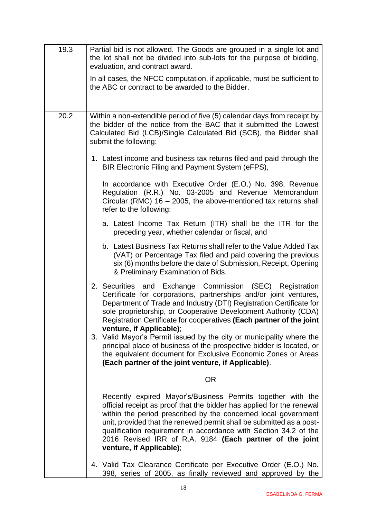| 19.3 | Partial bid is not allowed. The Goods are grouped in a single lot and<br>the lot shall not be divided into sub-lots for the purpose of bidding,<br>evaluation, and contract award.                                                                                                                                                                                                                                                         |
|------|--------------------------------------------------------------------------------------------------------------------------------------------------------------------------------------------------------------------------------------------------------------------------------------------------------------------------------------------------------------------------------------------------------------------------------------------|
|      | In all cases, the NFCC computation, if applicable, must be sufficient to<br>the ABC or contract to be awarded to the Bidder.                                                                                                                                                                                                                                                                                                               |
|      |                                                                                                                                                                                                                                                                                                                                                                                                                                            |
| 20.2 | Within a non-extendible period of five (5) calendar days from receipt by<br>the bidder of the notice from the BAC that it submitted the Lowest<br>Calculated Bid (LCB)/Single Calculated Bid (SCB), the Bidder shall<br>submit the following:                                                                                                                                                                                              |
|      | 1. Latest income and business tax returns filed and paid through the<br>BIR Electronic Filing and Payment System (eFPS),                                                                                                                                                                                                                                                                                                                   |
|      | In accordance with Executive Order (E.O.) No. 398, Revenue<br>Regulation (R.R.) No. 03-2005 and Revenue Memorandum<br>Circular (RMC) $16 - 2005$ , the above-mentioned tax returns shall<br>refer to the following:                                                                                                                                                                                                                        |
|      | a. Latest Income Tax Return (ITR) shall be the ITR for the<br>preceding year, whether calendar or fiscal, and                                                                                                                                                                                                                                                                                                                              |
|      | b. Latest Business Tax Returns shall refer to the Value Added Tax<br>(VAT) or Percentage Tax filed and paid covering the previous<br>six (6) months before the date of Submission, Receipt, Opening<br>& Preliminary Examination of Bids.                                                                                                                                                                                                  |
|      | 2. Securities and Exchange Commission (SEC) Registration<br>Certificate for corporations, partnerships and/or joint ventures,<br>Department of Trade and Industry (DTI) Registration Certificate for<br>sole proprietorship, or Cooperative Development Authority (CDA)<br>Registration Certificate for cooperatives (Each partner of the joint<br>venture, if Applicable);                                                                |
|      | 3. Valid Mayor's Permit issued by the city or municipality where the<br>principal place of business of the prospective bidder is located, or<br>the equivalent document for Exclusive Economic Zones or Areas<br>(Each partner of the joint venture, if Applicable).                                                                                                                                                                       |
|      | <b>OR</b>                                                                                                                                                                                                                                                                                                                                                                                                                                  |
|      | Recently expired Mayor's/Business Permits together with the<br>official receipt as proof that the bidder has applied for the renewal<br>within the period prescribed by the concerned local government<br>unit, provided that the renewed permit shall be submitted as a post-<br>qualification requirement in accordance with Section 34.2 of the<br>2016 Revised IRR of R.A. 9184 (Each partner of the joint<br>venture, if Applicable); |
|      | 4. Valid Tax Clearance Certificate per Executive Order (E.O.) No.<br>398, series of 2005, as finally reviewed and approved by the                                                                                                                                                                                                                                                                                                          |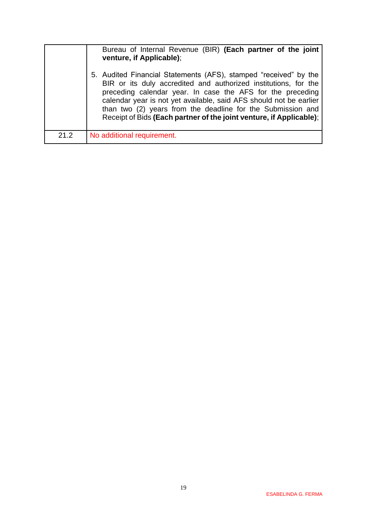|      | Bureau of Internal Revenue (BIR) (Each partner of the joint<br>venture, if Applicable);                                                                                                                                                                                                                                                                                                                       |
|------|---------------------------------------------------------------------------------------------------------------------------------------------------------------------------------------------------------------------------------------------------------------------------------------------------------------------------------------------------------------------------------------------------------------|
|      | 5. Audited Financial Statements (AFS), stamped "received" by the<br>BIR or its duly accredited and authorized institutions, for the<br>preceding calendar year. In case the AFS for the preceding<br>calendar year is not yet available, said AFS should not be earlier<br>than two (2) years from the deadline for the Submission and<br>Receipt of Bids (Each partner of the joint venture, if Applicable); |
| 21.2 | No additional requirement.                                                                                                                                                                                                                                                                                                                                                                                    |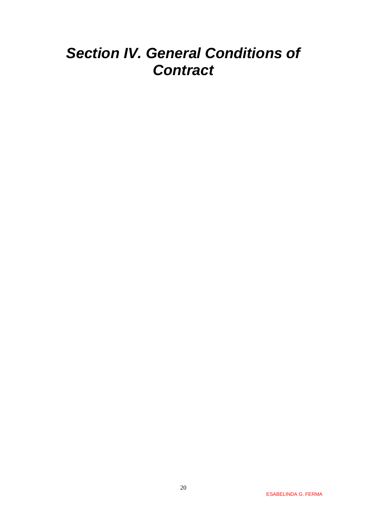# <span id="page-19-0"></span>*Section IV. General Conditions of Contract*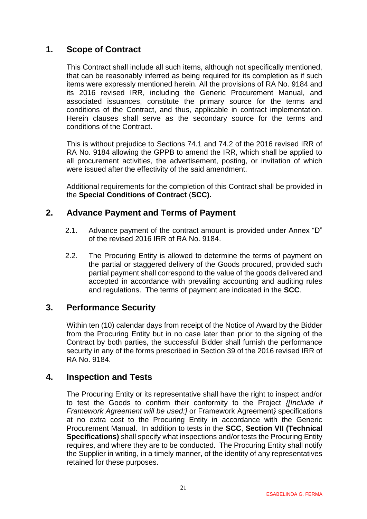## <span id="page-20-0"></span>**1. Scope of Contract**

This Contract shall include all such items, although not specifically mentioned, that can be reasonably inferred as being required for its completion as if such items were expressly mentioned herein. All the provisions of RA No. 9184 and its 2016 revised IRR, including the Generic Procurement Manual, and associated issuances, constitute the primary source for the terms and conditions of the Contract, and thus, applicable in contract implementation. Herein clauses shall serve as the secondary source for the terms and conditions of the Contract.

This is without prejudice to Sections 74.1 and 74.2 of the 2016 revised IRR of RA No. 9184 allowing the GPPB to amend the IRR, which shall be applied to all procurement activities, the advertisement, posting, or invitation of which were issued after the effectivity of the said amendment.

Additional requirements for the completion of this Contract shall be provided in the **Special Conditions of Contract** (**SCC).**

### <span id="page-20-1"></span>**2. Advance Payment and Terms of Payment**

- 2.1. Advance payment of the contract amount is provided under Annex "D" of the revised 2016 IRR of RA No. 9184.
- 2.2. The Procuring Entity is allowed to determine the terms of payment on the partial or staggered delivery of the Goods procured, provided such partial payment shall correspond to the value of the goods delivered and accepted in accordance with prevailing accounting and auditing rules and regulations. The terms of payment are indicated in the **SCC**.

### <span id="page-20-2"></span>**3. Performance Security**

Within ten (10) calendar days from receipt of the Notice of Award by the Bidder from the Procuring Entity but in no case later than prior to the signing of the Contract by both parties, the successful Bidder shall furnish the performance security in any of the forms prescribed in Section 39 of the 2016 revised IRR of RA No. 9184.

#### <span id="page-20-3"></span>**4. Inspection and Tests**

The Procuring Entity or its representative shall have the right to inspect and/or to test the Goods to confirm their conformity to the Project *{[Include if Framework Agreement will be used:]* or Framework Agreement*}* specifications at no extra cost to the Procuring Entity in accordance with the Generic Procurement Manual. In addition to tests in the **SCC**, **Section VII (Technical Specifications)** shall specify what inspections and/or tests the Procuring Entity requires, and where they are to be conducted. The Procuring Entity shall notify the Supplier in writing, in a timely manner, of the identity of any representatives retained for these purposes.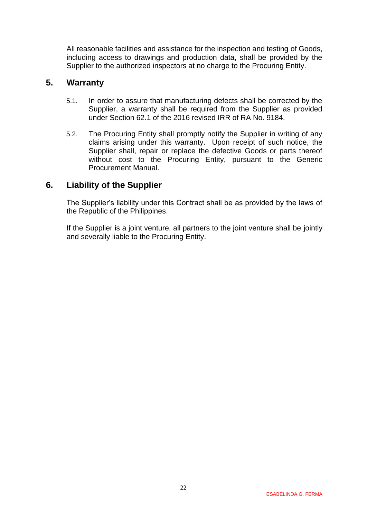All reasonable facilities and assistance for the inspection and testing of Goods, including access to drawings and production data, shall be provided by the Supplier to the authorized inspectors at no charge to the Procuring Entity.

### <span id="page-21-0"></span>**5. Warranty**

- 5.1. In order to assure that manufacturing defects shall be corrected by the Supplier, a warranty shall be required from the Supplier as provided under Section 62.1 of the 2016 revised IRR of RA No. 9184.
- 5.2. The Procuring Entity shall promptly notify the Supplier in writing of any claims arising under this warranty. Upon receipt of such notice, the Supplier shall, repair or replace the defective Goods or parts thereof without cost to the Procuring Entity, pursuant to the Generic Procurement Manual.

### <span id="page-21-1"></span>**6. Liability of the Supplier**

The Supplier's liability under this Contract shall be as provided by the laws of the Republic of the Philippines.

If the Supplier is a joint venture, all partners to the joint venture shall be jointly and severally liable to the Procuring Entity.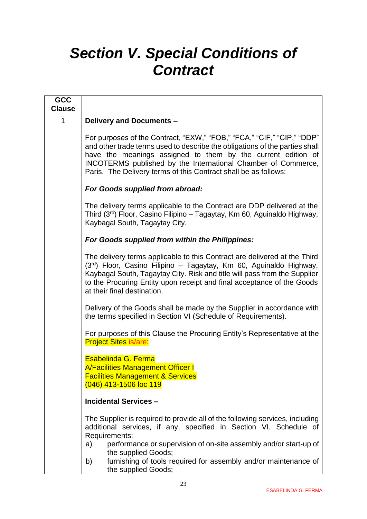# <span id="page-22-0"></span>*Section V. Special Conditions of Contract*

| <b>GCC</b>    |                                                                                                                                                                                                                                                                                                                                                           |
|---------------|-----------------------------------------------------------------------------------------------------------------------------------------------------------------------------------------------------------------------------------------------------------------------------------------------------------------------------------------------------------|
| <b>Clause</b> |                                                                                                                                                                                                                                                                                                                                                           |
| 1             | Delivery and Documents -                                                                                                                                                                                                                                                                                                                                  |
|               | For purposes of the Contract, "EXW," "FOB," "FCA," "CIF," "CIP," "DDP"<br>and other trade terms used to describe the obligations of the parties shall<br>have the meanings assigned to them by the current edition of<br>INCOTERMS published by the International Chamber of Commerce,<br>Paris. The Delivery terms of this Contract shall be as follows: |
|               | <b>For Goods supplied from abroad:</b>                                                                                                                                                                                                                                                                                                                    |
|               | The delivery terms applicable to the Contract are DDP delivered at the<br>Third (3 <sup>rd</sup> ) Floor, Casino Filipino – Tagaytay, Km 60, Aguinaldo Highway,<br>Kaybagal South, Tagaytay City.                                                                                                                                                         |
|               | For Goods supplied from within the Philippines:                                                                                                                                                                                                                                                                                                           |
|               | The delivery terms applicable to this Contract are delivered at the Third<br>(3rd) Floor, Casino Filipino - Tagaytay, Km 60, Aguinaldo Highway,<br>Kaybagal South, Tagaytay City. Risk and title will pass from the Supplier<br>to the Procuring Entity upon receipt and final acceptance of the Goods<br>at their final destination.                     |
|               | Delivery of the Goods shall be made by the Supplier in accordance with<br>the terms specified in Section VI (Schedule of Requirements).                                                                                                                                                                                                                   |
|               | For purposes of this Clause the Procuring Entity's Representative at the<br><b>Project Sites is/are:</b>                                                                                                                                                                                                                                                  |
|               | Esabelinda G. Ferma<br><b>A/Facilities Management Officer I</b><br><b>Facilities Management &amp; Services</b><br>(046) 413-1506 loc 119                                                                                                                                                                                                                  |
|               | <b>Incidental Services -</b>                                                                                                                                                                                                                                                                                                                              |
|               | The Supplier is required to provide all of the following services, including<br>additional services, if any, specified in Section VI. Schedule of<br>Requirements:                                                                                                                                                                                        |
|               | performance or supervision of on-site assembly and/or start-up of<br>a)<br>the supplied Goods;                                                                                                                                                                                                                                                            |
|               | furnishing of tools required for assembly and/or maintenance of<br>b)<br>the supplied Goods;                                                                                                                                                                                                                                                              |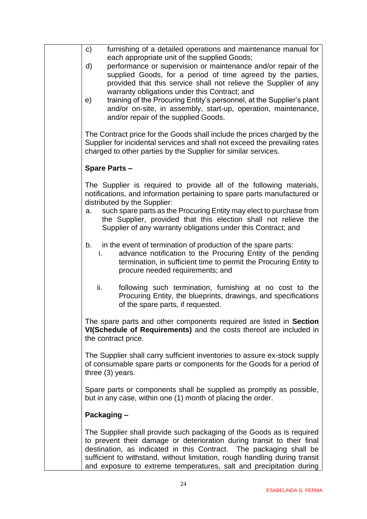| $\mathsf{C}$ | furnishing of a detailed operations and maintenance manual for<br>each appropriate unit of the supplied Goods;                                                                                                                                                                                                                                                             |
|--------------|----------------------------------------------------------------------------------------------------------------------------------------------------------------------------------------------------------------------------------------------------------------------------------------------------------------------------------------------------------------------------|
| d)           | performance or supervision or maintenance and/or repair of the<br>supplied Goods, for a period of time agreed by the parties,<br>provided that this service shall not relieve the Supplier of any                                                                                                                                                                          |
| e)           | warranty obligations under this Contract; and<br>training of the Procuring Entity's personnel, at the Supplier's plant<br>and/or on-site, in assembly, start-up, operation, maintenance,<br>and/or repair of the supplied Goods.                                                                                                                                           |
|              | The Contract price for the Goods shall include the prices charged by the<br>Supplier for incidental services and shall not exceed the prevailing rates<br>charged to other parties by the Supplier for similar services.                                                                                                                                                   |
|              | <b>Spare Parts -</b>                                                                                                                                                                                                                                                                                                                                                       |
|              | The Supplier is required to provide all of the following materials,<br>notifications, and information pertaining to spare parts manufactured or<br>distributed by the Supplier:                                                                                                                                                                                            |
| a.           | such spare parts as the Procuring Entity may elect to purchase from<br>the Supplier, provided that this election shall not relieve the<br>Supplier of any warranty obligations under this Contract; and                                                                                                                                                                    |
| b.<br>i.     | in the event of termination of production of the spare parts:<br>advance notification to the Procuring Entity of the pending<br>termination, in sufficient time to permit the Procuring Entity to<br>procure needed requirements; and                                                                                                                                      |
| ii.          | following such termination, furnishing at no cost to the<br>Procuring Entity, the blueprints, drawings, and specifications<br>of the spare parts, if requested.                                                                                                                                                                                                            |
|              | The spare parts and other components required are listed in Section<br>VI(Schedule of Requirements) and the costs thereof are included in<br>the contract price.                                                                                                                                                                                                           |
|              | The Supplier shall carry sufficient inventories to assure ex-stock supply<br>of consumable spare parts or components for the Goods for a period of<br>three $(3)$ years.                                                                                                                                                                                                   |
|              | Spare parts or components shall be supplied as promptly as possible,<br>but in any case, within one (1) month of placing the order.                                                                                                                                                                                                                                        |
| Packaging -  |                                                                                                                                                                                                                                                                                                                                                                            |
|              | The Supplier shall provide such packaging of the Goods as is required<br>to prevent their damage or deterioration during transit to their final<br>destination, as indicated in this Contract. The packaging shall be<br>sufficient to withstand, without limitation, rough handling during transit<br>and exposure to extreme temperatures, salt and precipitation during |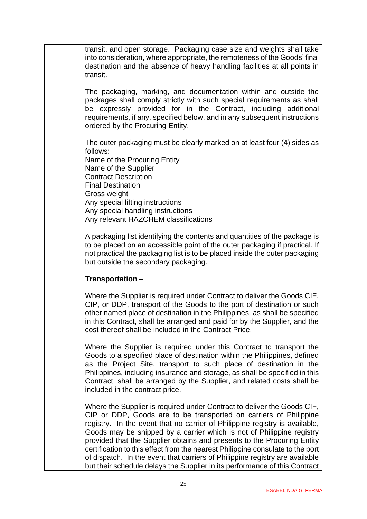transit, and open storage. Packaging case size and weights shall take into consideration, where appropriate, the remoteness of the Goods' final destination and the absence of heavy handling facilities at all points in transit.

The packaging, marking, and documentation within and outside the packages shall comply strictly with such special requirements as shall be expressly provided for in the Contract, including additional requirements, if any, specified below, and in any subsequent instructions ordered by the Procuring Entity.

The outer packaging must be clearly marked on at least four (4) sides as follows:

Name of the Procuring Entity Name of the Supplier Contract Description Final Destination Gross weight Any special lifting instructions Any special handling instructions Any relevant HAZCHEM classifications

A packaging list identifying the contents and quantities of the package is to be placed on an accessible point of the outer packaging if practical. If not practical the packaging list is to be placed inside the outer packaging but outside the secondary packaging.

#### **Transportation –**

Where the Supplier is required under Contract to deliver the Goods CIF, CIP, or DDP, transport of the Goods to the port of destination or such other named place of destination in the Philippines, as shall be specified in this Contract, shall be arranged and paid for by the Supplier, and the cost thereof shall be included in the Contract Price.

Where the Supplier is required under this Contract to transport the Goods to a specified place of destination within the Philippines, defined as the Project Site, transport to such place of destination in the Philippines, including insurance and storage, as shall be specified in this Contract, shall be arranged by the Supplier, and related costs shall be included in the contract price.

Where the Supplier is required under Contract to deliver the Goods CIF, CIP or DDP, Goods are to be transported on carriers of Philippine registry. In the event that no carrier of Philippine registry is available, Goods may be shipped by a carrier which is not of Philippine registry provided that the Supplier obtains and presents to the Procuring Entity certification to this effect from the nearest Philippine consulate to the port of dispatch. In the event that carriers of Philippine registry are available but their schedule delays the Supplier in its performance of this Contract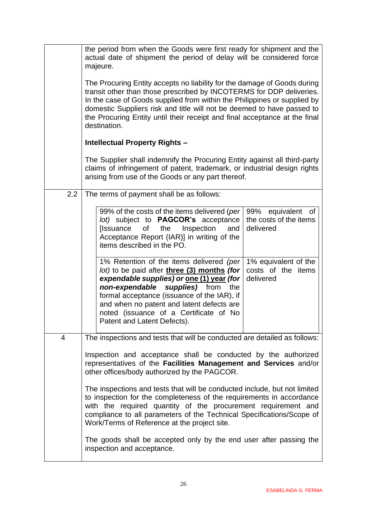|     | the period from when the Goods were first ready for shipment and the<br>actual date of shipment the period of delay will be considered force<br>majeure.                                                                                                                                                                                                                                                                                        |  |  |  |  |
|-----|-------------------------------------------------------------------------------------------------------------------------------------------------------------------------------------------------------------------------------------------------------------------------------------------------------------------------------------------------------------------------------------------------------------------------------------------------|--|--|--|--|
|     | The Procuring Entity accepts no liability for the damage of Goods during<br>transit other than those prescribed by INCOTERMS for DDP deliveries.<br>In the case of Goods supplied from within the Philippines or supplied by<br>domestic Suppliers risk and title will not be deemed to have passed to<br>the Procuring Entity until their receipt and final acceptance at the final<br>destination.                                            |  |  |  |  |
|     | <b>Intellectual Property Rights -</b>                                                                                                                                                                                                                                                                                                                                                                                                           |  |  |  |  |
|     | The Supplier shall indemnify the Procuring Entity against all third-party<br>claims of infringement of patent, trademark, or industrial design rights<br>arising from use of the Goods or any part thereof.                                                                                                                                                                                                                                     |  |  |  |  |
| 2.2 | The terms of payment shall be as follows:                                                                                                                                                                                                                                                                                                                                                                                                       |  |  |  |  |
|     | 99% of the costs of the items delivered (per<br>99% equivalent<br>0f<br>lot) subject to <b>PAGCOR's</b> acceptance<br>the costs of the items<br>οf<br>the<br>Inspection<br>delivered<br>[Issuance<br>and<br>Acceptance Report (IAR)] in writing of the<br>items described in the PO.                                                                                                                                                            |  |  |  |  |
|     | 1% Retention of the items delivered (per<br>1% equivalent of the<br>lot) to be paid after three (3) months (for<br>costs of the items<br>expendable supplies) or one (1) year (for<br>delivered<br>non-expendable<br>supplies) from<br>the<br>formal acceptance (issuance of the IAR), if<br>and when no patent and latent defects are<br>noted (issuance of a Certificate of No<br>Patent and Latent Defects).                                 |  |  |  |  |
| 4   | The inspections and tests that will be conducted are detailed as follows:                                                                                                                                                                                                                                                                                                                                                                       |  |  |  |  |
|     | Inspection and acceptance shall be conducted by the authorized<br>representatives of the Facilities Management and Services and/or<br>other offices/body authorized by the PAGCOR.                                                                                                                                                                                                                                                              |  |  |  |  |
|     | The inspections and tests that will be conducted include, but not limited<br>to inspection for the completeness of the requirements in accordance<br>with the required quantity of the procurement requirement and<br>compliance to all parameters of the Technical Specifications/Scope of<br>Work/Terms of Reference at the project site.<br>The goods shall be accepted only by the end user after passing the<br>inspection and acceptance. |  |  |  |  |
|     |                                                                                                                                                                                                                                                                                                                                                                                                                                                 |  |  |  |  |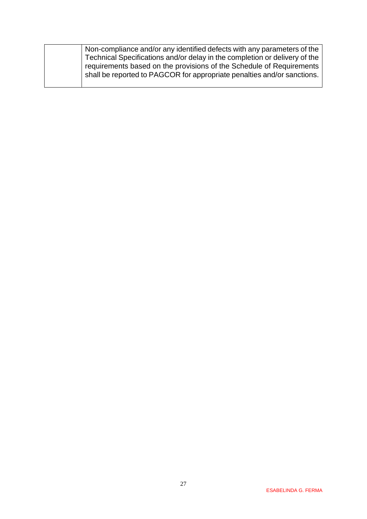| Non-compliance and/or any identified defects with any parameters of the<br>Technical Specifications and/or delay in the completion or delivery of the<br>requirements based on the provisions of the Schedule of Requirements<br>shall be reported to PAGCOR for appropriate penalties and/or sanctions. |
|----------------------------------------------------------------------------------------------------------------------------------------------------------------------------------------------------------------------------------------------------------------------------------------------------------|
|                                                                                                                                                                                                                                                                                                          |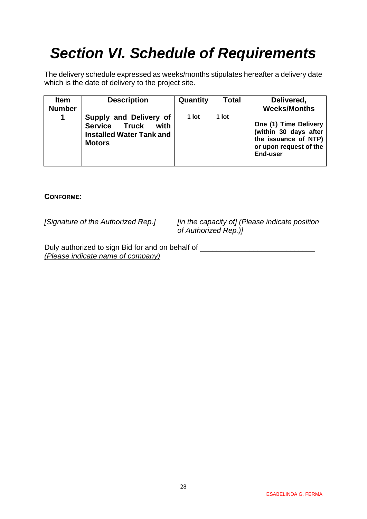# <span id="page-27-0"></span>*Section VI. Schedule of Requirements*

The delivery schedule expressed as weeks/months stipulates hereafter a delivery date which is the date of delivery to the project site.

| <b>Item</b><br><b>Number</b> | <b>Description</b>                                                                                  | Quantity | <b>Total</b> | Delivered,<br><b>Weeks/Months</b>                                                                            |
|------------------------------|-----------------------------------------------------------------------------------------------------|----------|--------------|--------------------------------------------------------------------------------------------------------------|
| 1                            | Supply and Delivery of<br>Service Truck<br>with<br><b>Installed Water Tank and</b><br><b>Motors</b> | 1 lot    | 1 lot        | One (1) Time Delivery<br>(within 30 days after<br>the issuance of NTP)<br>or upon request of the<br>End-user |

#### **CONFORME:**

*[Signature of the Authorized Rep.] [in the capacity of] (Please indicate position of Authorized Rep.)]*

Duly authorized to sign Bid for and on behalf of \_\_\_\_\_\_\_\_\_\_\_\_\_\_\_\_\_\_\_\_\_\_\_\_\_\_\_\_\_\_\_ *(Please indicate name of company)*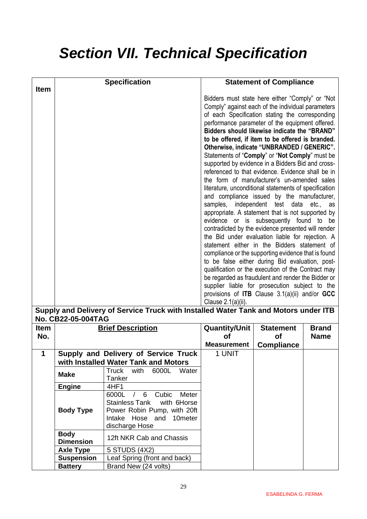# <span id="page-28-0"></span>*Section VII. Technical Specification*

|             |                                 | <b>Specification</b>                                                                                                                               |                                                                                                                                                                                                                                                                                                                                                                                                                                                                                                                                                                                                                                                                                                                                                                                                                                                                                                                                                                                                                                                                                                                                                                                                                                                                                                                                                                                                                                        | <b>Statement of Compliance</b> |              |
|-------------|---------------------------------|----------------------------------------------------------------------------------------------------------------------------------------------------|----------------------------------------------------------------------------------------------------------------------------------------------------------------------------------------------------------------------------------------------------------------------------------------------------------------------------------------------------------------------------------------------------------------------------------------------------------------------------------------------------------------------------------------------------------------------------------------------------------------------------------------------------------------------------------------------------------------------------------------------------------------------------------------------------------------------------------------------------------------------------------------------------------------------------------------------------------------------------------------------------------------------------------------------------------------------------------------------------------------------------------------------------------------------------------------------------------------------------------------------------------------------------------------------------------------------------------------------------------------------------------------------------------------------------------------|--------------------------------|--------------|
| <b>Item</b> |                                 |                                                                                                                                                    | Bidders must state here either "Comply" or "Not<br>Comply" against each of the individual parameters<br>of each Specification stating the corresponding<br>performance parameter of the equipment offered.<br>Bidders should likewise indicate the "BRAND"<br>to be offered, if item to be offered is branded.<br>Otherwise, indicate "UNBRANDED / GENERIC".<br>Statements of "Comply" or "Not Comply" must be<br>supported by evidence in a Bidders Bid and cross-<br>referenced to that evidence. Evidence shall be in<br>the form of manufacturer's un-amended sales<br>literature, unconditional statements of specification<br>and compliance issued by the manufacturer,<br>independent test data etc., as<br>samples,<br>appropriate. A statement that is not supported by<br>evidence or is subsequently found to be<br>contradicted by the evidence presented will render<br>the Bid under evaluation liable for rejection. A<br>statement either in the Bidders statement of<br>compliance or the supporting evidence that is found<br>to be false either during Bid evaluation, post-<br>qualification or the execution of the Contract may<br>be regarded as fraudulent and render the Bidder or<br>supplier liable for prosecution subject to the<br>provisions of <b>ITB</b> Clause $3.1(a)(ii)$ and/or GCC<br>Clause 2.1(a)(ii).<br>Supply and Delivery of Service Truck with Installed Water Tank and Motors under ITB |                                |              |
| <b>Item</b> | No. CB22-05-004TAG              | <b>Brief Description</b>                                                                                                                           | <b>Quantity/Unit</b>                                                                                                                                                                                                                                                                                                                                                                                                                                                                                                                                                                                                                                                                                                                                                                                                                                                                                                                                                                                                                                                                                                                                                                                                                                                                                                                                                                                                                   | <b>Statement</b>               | <b>Brand</b> |
| No.         |                                 |                                                                                                                                                    | <b>of</b>                                                                                                                                                                                                                                                                                                                                                                                                                                                                                                                                                                                                                                                                                                                                                                                                                                                                                                                                                                                                                                                                                                                                                                                                                                                                                                                                                                                                                              | <b>of</b>                      | <b>Name</b>  |
| 1           |                                 | Supply and Delivery of Service Truck                                                                                                               | <b>Measurement</b><br>1 UNIT                                                                                                                                                                                                                                                                                                                                                                                                                                                                                                                                                                                                                                                                                                                                                                                                                                                                                                                                                                                                                                                                                                                                                                                                                                                                                                                                                                                                           | <b>Compliance</b>              |              |
|             |                                 | with Installed Water Tank and Motors                                                                                                               |                                                                                                                                                                                                                                                                                                                                                                                                                                                                                                                                                                                                                                                                                                                                                                                                                                                                                                                                                                                                                                                                                                                                                                                                                                                                                                                                                                                                                                        |                                |              |
|             | <b>Make</b>                     | <b>Truck</b><br>with<br>6000L<br>Water<br>Tanker                                                                                                   |                                                                                                                                                                                                                                                                                                                                                                                                                                                                                                                                                                                                                                                                                                                                                                                                                                                                                                                                                                                                                                                                                                                                                                                                                                                                                                                                                                                                                                        |                                |              |
|             | <b>Engine</b>                   | 4HF1                                                                                                                                               |                                                                                                                                                                                                                                                                                                                                                                                                                                                                                                                                                                                                                                                                                                                                                                                                                                                                                                                                                                                                                                                                                                                                                                                                                                                                                                                                                                                                                                        |                                |              |
|             | <b>Body Type</b>                | 6000L /<br>6<br>Cubic<br>Meter<br><b>Stainless Tank</b><br>with 6Horse<br>Power Robin Pump, with 20ft<br>Intake Hose and 10meter<br>discharge Hose |                                                                                                                                                                                                                                                                                                                                                                                                                                                                                                                                                                                                                                                                                                                                                                                                                                                                                                                                                                                                                                                                                                                                                                                                                                                                                                                                                                                                                                        |                                |              |
|             | <b>Body</b><br><b>Dimension</b> | 12ft NKR Cab and Chassis                                                                                                                           |                                                                                                                                                                                                                                                                                                                                                                                                                                                                                                                                                                                                                                                                                                                                                                                                                                                                                                                                                                                                                                                                                                                                                                                                                                                                                                                                                                                                                                        |                                |              |
|             | <b>Axle Type</b>                | 5 STUDS (4X2)                                                                                                                                      |                                                                                                                                                                                                                                                                                                                                                                                                                                                                                                                                                                                                                                                                                                                                                                                                                                                                                                                                                                                                                                                                                                                                                                                                                                                                                                                                                                                                                                        |                                |              |
|             | <b>Suspension</b>               | Leaf Spring (front and back)                                                                                                                       |                                                                                                                                                                                                                                                                                                                                                                                                                                                                                                                                                                                                                                                                                                                                                                                                                                                                                                                                                                                                                                                                                                                                                                                                                                                                                                                                                                                                                                        |                                |              |
|             | <b>Battery</b>                  | Brand New (24 volts)                                                                                                                               |                                                                                                                                                                                                                                                                                                                                                                                                                                                                                                                                                                                                                                                                                                                                                                                                                                                                                                                                                                                                                                                                                                                                                                                                                                                                                                                                                                                                                                        |                                |              |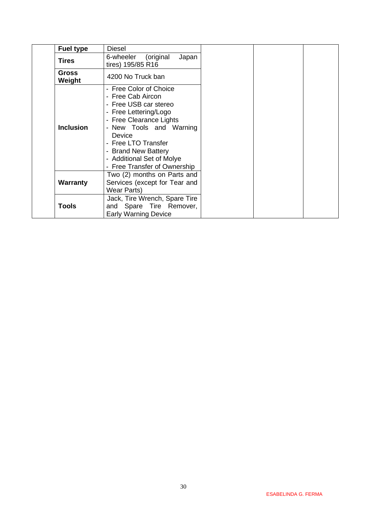| <b>Fuel type</b>       | Diesel                                                                                                                                                                                                                                                                        |  |  |
|------------------------|-------------------------------------------------------------------------------------------------------------------------------------------------------------------------------------------------------------------------------------------------------------------------------|--|--|
| <b>Tires</b>           | 6-wheeler<br>(original<br>Japan<br>tires) 195/85 R16                                                                                                                                                                                                                          |  |  |
| <b>Gross</b><br>Weight | 4200 No Truck ban                                                                                                                                                                                                                                                             |  |  |
| <b>Inclusion</b>       | - Free Color of Choice<br>- Free Cab Aircon<br>- Free USB car stereo<br>- Free Lettering/Logo<br>- Free Clearance Lights<br>- New Tools and Warning<br>Device<br><b>Free LTO Transfer</b><br>- Brand New Battery<br>- Additional Set of Molye<br>- Free Transfer of Ownership |  |  |
| <b>Warranty</b>        | Two (2) months on Parts and<br>Services (except for Tear and<br><b>Wear Parts)</b>                                                                                                                                                                                            |  |  |
| <b>Tools</b>           | Jack, Tire Wrench, Spare Tire<br>and Spare Tire Remover,<br><b>Early Warning Device</b>                                                                                                                                                                                       |  |  |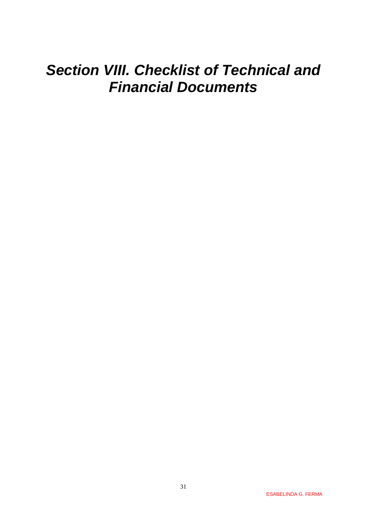# <span id="page-30-0"></span>*Section VIII. Checklist of Technical and Financial Documents*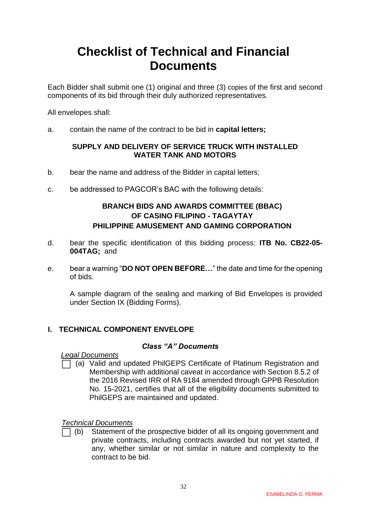# **Checklist of Technical and Financial Documents**

Each Bidder shall submit one (1) original and three (3) copies of the first and second components of its bid through their duly authorized representatives.

All envelopes shall:

a. contain the name of the contract to be bid in **capital letters;**

#### **SUPPLY AND DELIVERY OF SERVICE TRUCK WITH INSTALLED WATER TANK AND MOTORS**

- b. bear the name and address of the Bidder in capital letters;
- c. be addressed to PAGCOR's BAC with the following details:

### **BRANCH BIDS AND AWARDS COMMITTEE (BBAC) OF CASINO FILIPINO - TAGAYTAY PHILIPPINE AMUSEMENT AND GAMING CORPORATION**

- d. bear the specific identification of this bidding process: **ITB No. CB22-05- 004TAG;** and
- e. bear a warning "**DO NOT OPEN BEFORE…**" the date and time for the opening of bids.

A sample diagram of the sealing and marking of Bid Envelopes is provided under Section IX (Bidding Forms).

#### **I. TECHNICAL COMPONENT ENVELOPE**

#### *Class "A" Documents*

*Legal Documents*

⬜ (a) Valid and updated PhilGEPS Certificate of Platinum Registration and Membership with additional caveat in accordance with Section 8.5.2 of the 2016 Revised IRR of RA 9184 amended through GPPB Resolution No. 15-2021, certifies that all of the eligibility documents submitted to PhilGEPS are maintained and updated.

#### *Technical Documents*

⬜ (b) Statement of the prospective bidder of all its ongoing government and private contracts, including contracts awarded but not yet started, if any, whether similar or not similar in nature and complexity to the contract to be bid.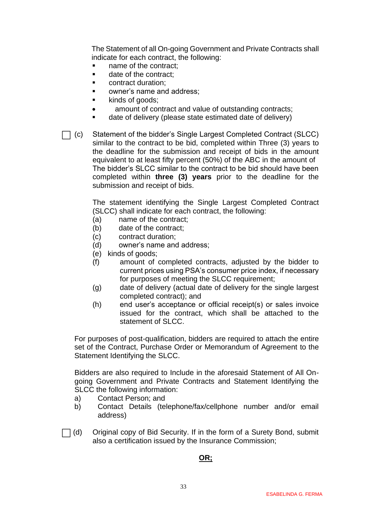The Statement of all On-going Government and Private Contracts shall indicate for each contract, the following:

- name of the contract:
- date of the contract:
- contract duration:
- owner's name and address;
- kinds of goods;
- amount of contract and value of outstanding contracts;
- date of delivery (please state estimated date of delivery)

⬜ (c) Statement of the bidder's Single Largest Completed Contract (SLCC) similar to the contract to be bid, completed within Three (3) years to the deadline for the submission and receipt of bids in the amount equivalent to at least fifty percent (50%) of the ABC in the amount of The bidder's SLCC similar to the contract to be bid should have been completed within **three (3) years** prior to the deadline for the submission and receipt of bids.

> The statement identifying the Single Largest Completed Contract (SLCC) shall indicate for each contract, the following:

- (a) name of the contract;
- (b) date of the contract;
- (c) contract duration;
- (d) owner's name and address;
- (e) kinds of goods;
- (f) amount of completed contracts, adjusted by the bidder to current prices using PSA's consumer price index, if necessary for purposes of meeting the SLCC requirement;
- (g) date of delivery (actual date of delivery for the single largest completed contract); and
- (h) end user's acceptance or official receipt(s) or sales invoice issued for the contract, which shall be attached to the statement of SLCC.

For purposes of post-qualification, bidders are required to attach the entire set of the Contract, Purchase Order or Memorandum of Agreement to the Statement Identifying the SLCC.

Bidders are also required to Include in the aforesaid Statement of All Ongoing Government and Private Contracts and Statement Identifying the SLCC the following information:

- a) Contact Person; and
- b) Contact Details (telephone/fax/cellphone number and/or email address)
- $\Box$  (d) Original copy of Bid Security. If in the form of a Surety Bond, submit also a certification issued by the Insurance Commission;

#### **OR;**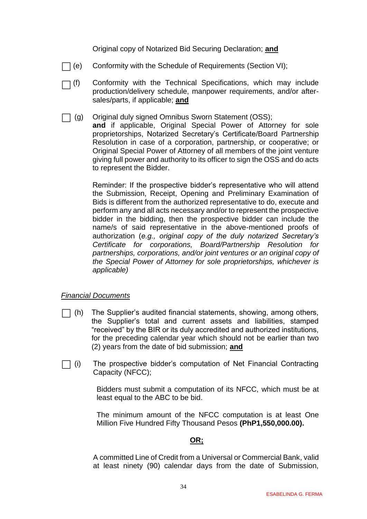Original copy of Notarized Bid Securing Declaration; **and**

- ⬜ Conformity with the Schedule of Requirements (Section VI);
- $\bigcap$  (f) Conformity with the Technical Specifications, which may include production/delivery schedule, manpower requirements, and/or aftersales/parts, if applicable; **and**
- $\Box$  (g) Original duly signed Omnibus Sworn Statement (OSS); **and** if applicable, Original Special Power of Attorney for sole proprietorships, Notarized Secretary's Certificate/Board Partnership Resolution in case of a corporation, partnership, or cooperative; or Original Special Power of Attorney of all members of the joint venture giving full power and authority to its officer to sign the OSS and do acts to represent the Bidder.

Reminder: If the prospective bidder's representative who will attend the Submission, Receipt, Opening and Preliminary Examination of Bids is different from the authorized representative to do, execute and perform any and all acts necessary and/or to represent the prospective bidder in the bidding, then the prospective bidder can include the name/s of said representative in the above-mentioned proofs of authorization (*e.g., original copy of the duly notarized Secretary's Certificate for corporations, Board/Partnership Resolution for partnerships, corporations, and/or joint ventures or an original copy of the Special Power of Attorney for sole proprietorships, whichever is applicable)*

#### *Financial Documents*

- $\Box$  (h) The Supplier's audited financial statements, showing, among others, the Supplier's total and current assets and liabilities, stamped "received" by the BIR or its duly accredited and authorized institutions, for the preceding calendar year which should not be earlier than two (2) years from the date of bid submission; **and**
- ⬜ (i) The prospective bidder's computation of Net Financial Contracting Capacity (NFCC);

Bidders must submit a computation of its NFCC, which must be at least equal to the ABC to be bid.

The minimum amount of the NFCC computation is at least One Million Five Hundred Fifty Thousand Pesos **(PhP1,550,000.00).**

#### **OR;**

A committed Line of Credit from a Universal or Commercial Bank, valid at least ninety (90) calendar days from the date of Submission,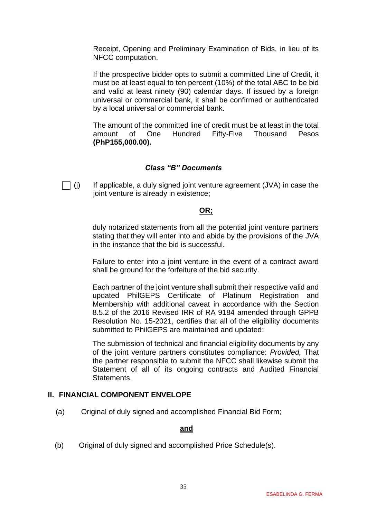Receipt, Opening and Preliminary Examination of Bids, in lieu of its NFCC computation.

If the prospective bidder opts to submit a committed Line of Credit, it must be at least equal to ten percent (10%) of the total ABC to be bid and valid at least ninety (90) calendar days. If issued by a foreign universal or commercial bank, it shall be confirmed or authenticated by a local universal or commercial bank.

The amount of the committed line of credit must be at least in the total amount of One Hundred Fifty-Five Thousand Pesos **(PhP155,000.00).**

#### *Class "B" Documents*

 $\Box$  (i) If applicable, a duly signed joint venture agreement (JVA) in case the joint venture is already in existence;

#### **OR;**

duly notarized statements from all the potential joint venture partners stating that they will enter into and abide by the provisions of the JVA in the instance that the bid is successful.

Failure to enter into a joint venture in the event of a contract award shall be ground for the forfeiture of the bid security.

Each partner of the joint venture shall submit their respective valid and updated PhilGEPS Certificate of Platinum Registration and Membership with additional caveat in accordance with the Section 8.5.2 of the 2016 Revised IRR of RA 9184 amended through GPPB Resolution No. 15-2021, certifies that all of the eligibility documents submitted to PhilGEPS are maintained and updated:

The submission of technical and financial eligibility documents by any of the joint venture partners constitutes compliance: *Provided,* That the partner responsible to submit the NFCC shall likewise submit the Statement of all of its ongoing contracts and Audited Financial Statements.

#### **II. FINANCIAL COMPONENT ENVELOPE**

(a) Original of duly signed and accomplished Financial Bid Form;

#### **and**

(b) Original of duly signed and accomplished Price Schedule(s).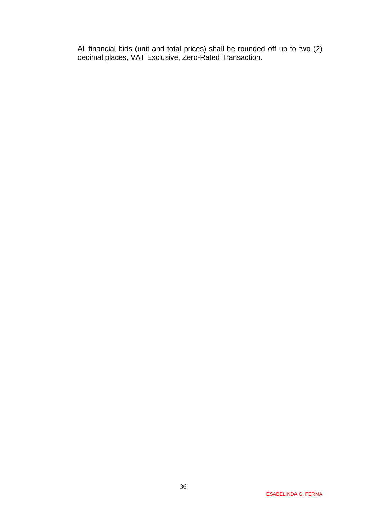All financial bids (unit and total prices) shall be rounded off up to two (2) decimal places, VAT Exclusive, Zero-Rated Transaction.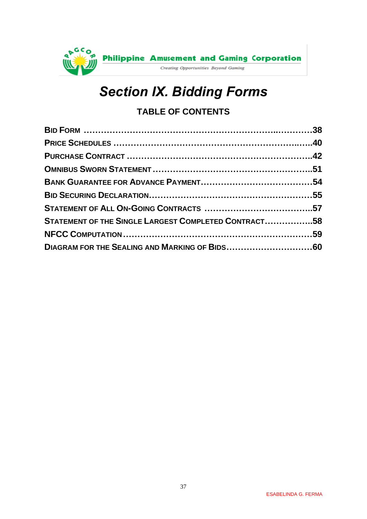<span id="page-36-0"></span>

# *Section IX. Bidding Forms*

# **TABLE OF CONTENTS**

| STATEMENT OF THE SINGLE LARGEST COMPLETED CONTRACT58 |  |
|------------------------------------------------------|--|
|                                                      |  |
|                                                      |  |
|                                                      |  |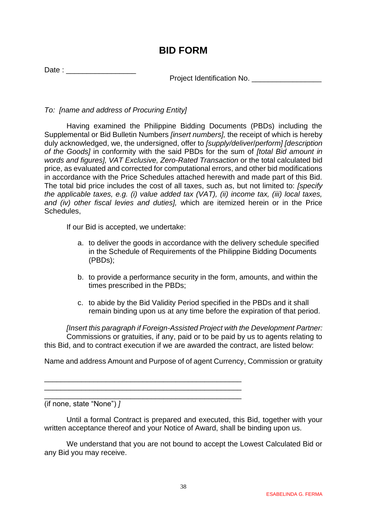# **BID FORM**

<span id="page-37-0"></span>Date :  $\Box$ 

Project Identification No.

*To: [name and address of Procuring Entity]*

Having examined the Philippine Bidding Documents (PBDs) including the Supplemental or Bid Bulletin Numbers *[insert numbers],* the receipt of which is hereby duly acknowledged, we, the undersigned, offer to *[supply/deliver*/*perform] [description of the Goods]* in conformity with the said PBDs for the sum of *[total Bid amount in words and figures], VAT Exclusive, Zero-Rated Transaction* or the total calculated bid price, as evaluated and corrected for computational errors, and other bid modifications in accordance with the Price Schedules attached herewith and made part of this Bid. The total bid price includes the cost of all taxes, such as, but not limited to: *[specify the applicable taxes, e.g. (i) value added tax (VAT), (ii) income tax, (iii) local taxes, and (iv) other fiscal levies and duties],* which are itemized herein or in the Price Schedules,

If our Bid is accepted, we undertake:

- a. to deliver the goods in accordance with the delivery schedule specified in the Schedule of Requirements of the Philippine Bidding Documents (PBDs);
- b. to provide a performance security in the form, amounts, and within the times prescribed in the PBDs;
- c. to abide by the Bid Validity Period specified in the PBDs and it shall remain binding upon us at any time before the expiration of that period.

*[Insert this paragraph if Foreign-Assisted Project with the Development Partner:* Commissions or gratuities, if any, paid or to be paid by us to agents relating to this Bid, and to contract execution if we are awarded the contract, are listed below:

Name and address Amount and Purpose of of agent Currency, Commission or gratuity

\_\_\_\_\_\_\_\_\_\_\_\_\_\_\_\_\_\_\_\_\_\_\_\_\_\_\_\_\_\_\_\_\_\_\_\_\_\_\_\_\_\_\_\_\_\_\_\_

\_\_\_\_\_\_\_\_\_\_\_\_\_\_\_\_\_\_\_\_\_\_\_\_\_\_\_\_\_\_\_\_\_\_\_\_\_\_\_\_\_\_\_\_\_\_\_\_ (if none, state "None") *]*

Until a formal Contract is prepared and executed, this Bid, together with your written acceptance thereof and your Notice of Award, shall be binding upon us.

We understand that you are not bound to accept the Lowest Calculated Bid or any Bid you may receive.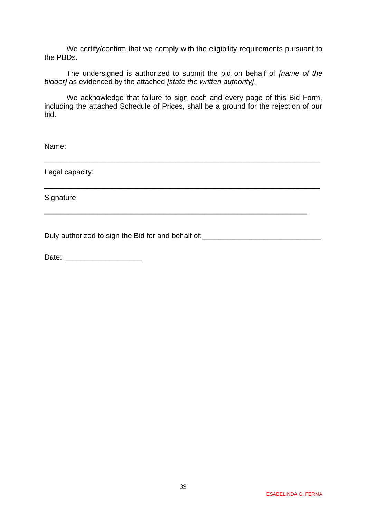We certify/confirm that we comply with the eligibility requirements pursuant to the PBDs.

The undersigned is authorized to submit the bid on behalf of *[name of the bidder]* as evidenced by the attached *[state the written authority]*.

We acknowledge that failure to sign each and every page of this Bid Form, including the attached Schedule of Prices, shall be a ground for the rejection of our bid.

\_\_\_\_\_\_\_\_\_\_\_\_\_\_\_\_\_\_\_\_\_\_\_\_\_\_\_\_\_\_\_\_\_\_\_\_\_\_\_\_\_\_\_\_\_\_\_\_\_\_\_\_\_\_\_\_\_\_\_\_\_\_\_\_\_\_\_

\_\_\_\_\_\_\_\_\_\_\_\_\_\_\_\_\_\_\_\_\_\_\_\_\_\_\_\_\_\_\_\_\_\_\_\_\_\_\_\_\_\_\_\_\_\_\_\_\_\_\_\_\_\_\_\_\_\_\_\_\_\_\_\_\_\_\_

\_\_\_\_\_\_\_\_\_\_\_\_\_\_\_\_\_\_\_\_\_\_\_\_\_\_\_\_\_\_\_\_\_\_\_\_\_\_\_\_\_\_\_\_\_\_\_\_\_\_\_\_\_\_\_\_\_\_\_\_\_\_\_\_

Name:

Legal capacity:

Signature:

Duly authorized to sign the Bid for and behalf of: \_\_\_\_\_\_\_\_\_\_\_\_\_\_\_\_\_\_\_\_\_\_\_\_\_\_\_\_\_

Date: \_\_\_\_\_\_\_\_\_\_\_\_\_\_\_\_\_\_\_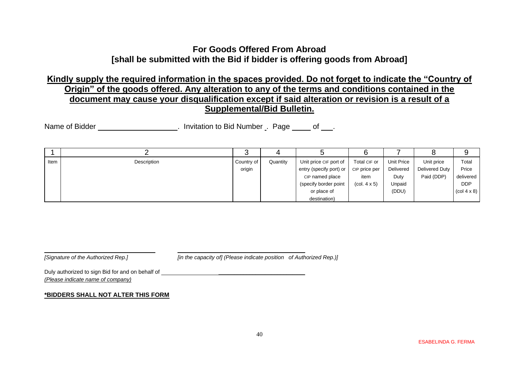## **For Goods Offered From Abroad [shall be submitted with the Bid if bidder is offering goods from Abroad]**

## **Kindly supply the required information in the spaces provided. Do not forget to indicate the "Country of Origin" of the goods offered. Any alteration to any of the terms and conditions contained in the document may cause your disqualification except if said alteration or revision is a result of a Supplemental/Bid Bulletin.**

Name of Bidder **Name of Bidder Name of Bidder** . Invitation to Bid Number . Page of .

<span id="page-39-0"></span>

|      |             | ◠          |          |                         |                                        |            |                |                                       |
|------|-------------|------------|----------|-------------------------|----------------------------------------|------------|----------------|---------------------------------------|
| Item | Description | Country of | Quantity | Unit price CIF port of  | Total CIF or                           | Unit Price | Unit price     | Total                                 |
|      |             | origin     |          | entry (specify port) or | CIP price per                          | Delivered  | Delivered Duty | Price                                 |
|      |             |            |          | CIP named place         | item                                   | Duty       | Paid (DDP)     | delivered                             |
|      |             |            |          | (specify border point   | $\left(\text{col. } 4 \times 5\right)$ | Unpaid     |                | <b>DDP</b>                            |
|      |             |            |          | or place of             |                                        | (DDU)      |                | $\left(\text{col } 4 \times 8\right)$ |
|      |             |            |          | destination)            |                                        |            |                |                                       |

*[Signature of the Authorized Rep.] [in the capacity of] (Please indicate position of Authorized Rep.)]*

Duly authorized to sign Bid for and on behalf of  $\Box$ *(Please indicate name of company)*

#### **\*BIDDERS SHALL NOT ALTER THIS FORM**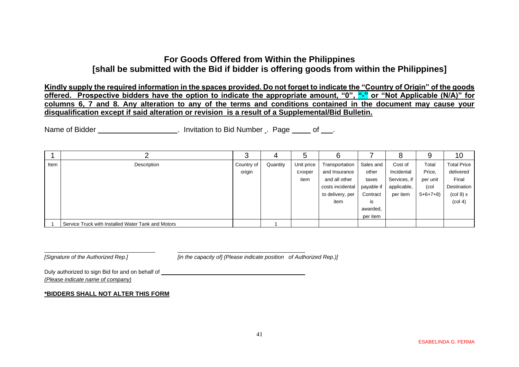## **For Goods Offered from Within the Philippines [shall be submitted with the Bid if bidder is offering goods from within the Philippines]**

**Kindly supply the required information in the spaces provided. Do not forget to indicate the "Country of Origin" of the goods offered. Prospective bidders have the option to indicate the appropriate amount, "0", "-" or "Not Applicable (N/A)" for columns 6, 7 and 8. Any alteration to any of the terms and conditions contained in the document may cause your disqualification except if said alteration or revision is a result of a Supplemental/Bid Bulletin.**

Name of Bidder **. Conserver 20 and 1** and 1 and 1 mitation to Bid Number . Page <u>of .</u>.

|      |                                                    |            |          | G          |                  |            | 8            |           | 10                             |
|------|----------------------------------------------------|------------|----------|------------|------------------|------------|--------------|-----------|--------------------------------|
| Item | Description                                        | Country of | Quantity | Unit price | Transportation   | Sales and  | Cost of      | Total     | <b>Total Price</b>             |
|      |                                                    | origin     |          | EXWper     | and Insurance    | other      | Incidental   | Price,    | delivered                      |
|      |                                                    |            |          | item       | and all other    | taxes      | Services, if | per unit  | Final                          |
|      |                                                    |            |          |            | costs incidental | payable if | applicable,  | (col      | Destination                    |
|      |                                                    |            |          |            | to delivery, per | Contract   | per item     | $5+6+7+8$ | $\left(\text{col } 9\right)$ x |
|      |                                                    |            |          |            | item             | is         |              |           | (col 4)                        |
|      |                                                    |            |          |            |                  | awarded,   |              |           |                                |
|      |                                                    |            |          |            |                  | per item   |              |           |                                |
|      | Service Truck with Installed Water Tank and Motors |            |          |            |                  |            |              |           |                                |

*[Signature of the Authorized Rep.] [in the capacity of] (Please indicate position of Authorized Rep.)]*

Duly authorized to sign Bid for and on behalf of \_\_\_\_\_\_\_\_\_\_\_\_\_\_\_\_\_\_\_\_\_\_\_\_\_\_\_\_\_\_\_ *(Please indicate name of company)*

#### **\*BIDDERS SHALL NOT ALTER THIS FORM**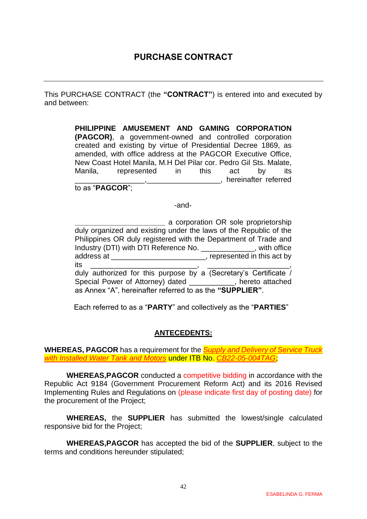<span id="page-41-0"></span>This PURCHASE CONTRACT (the **"CONTRACT"**) is entered into and executed by and between:

> **PHILIPPINE AMUSEMENT AND GAMING CORPORATION (PAGCOR)**, a government-owned and controlled corporation created and existing by virtue of Presidential Decree 1869, as amended, with office address at the PAGCOR Executive Office, New Coast Hotel Manila, M.H Del Pilar cor. Pedro Gil Sts. Malate, Manila, represented in this act by its \_\_\_\_\_\_\_\_\_\_\_\_\_\_\_\_\_,\_\_\_\_\_\_\_\_\_\_\_\_\_\_\_\_\_\_, hereinafter referred

to as "**PAGCOR**";

-and-

**Example 2** a corporation OR sole proprietorship duly organized and existing under the laws of the Republic of the Philippines OR duly registered with the Department of Trade and Industry (DTI) with DTI Reference No. \_\_\_\_\_\_\_\_\_\_\_\_\_, with office address at \_\_\_\_\_\_\_\_\_\_\_\_\_\_\_\_\_\_\_\_\_\_\_\_, represented in this act by its \_\_\_\_\_\_\_\_\_\_\_\_\_\_\_\_\_\_\_\_\_\_\_\_\_\_, \_\_\_\_\_\_\_\_\_\_\_\_\_\_\_\_\_\_\_\_, duly authorized for this purpose by a (Secretary's Certificate / Special Power of Attorney) dated **Example 2.**, hereto attached as Annex "A", hereinafter referred to as the **"SUPPLIER"**.

Each referred to as a "**PARTY**" and collectively as the "**PARTIES**"

#### **ANTECEDENTS:**

**WHEREAS, PAGCOR** has a requirement for the *Supply and Delivery of Service Truck with Installed Water Tank and Motors* under ITB No. *CB22-05-004TAG*;

**WHEREAS,PAGCOR** conducted a competitive bidding in accordance with the Republic Act 9184 (Government Procurement Reform Act) and its 2016 Revised Implementing Rules and Regulations on (please indicate first day of posting date) for the procurement of the Project;

**WHEREAS,** the **SUPPLIER** has submitted the lowest/single calculated responsive bid for the Project;

**WHEREAS,PAGCOR** has accepted the bid of the **SUPPLIER**, subject to the terms and conditions hereunder stipulated;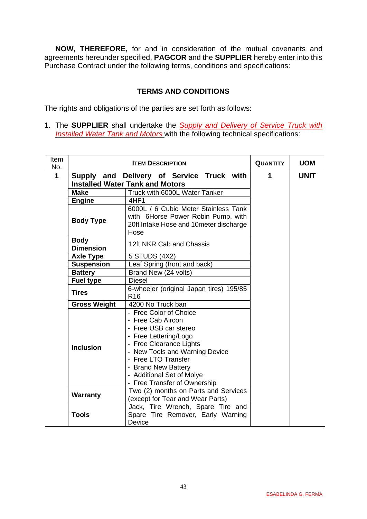**NOW, THEREFORE,** for and in consideration of the mutual covenants and agreements hereunder specified, **PAGCOR** and the **SUPPLIER** hereby enter into this Purchase Contract under the following terms, conditions and specifications:

#### **TERMS AND CONDITIONS**

The rights and obligations of the parties are set forth as follows:

1. The **SUPPLIER** shall undertake the *Supply and Delivery of Service Truck with Installed Water Tank and Motors* with the following technical specifications:

| Item<br>No. |                                                                                     | <b>QUANTITY</b>                                                                                                                                                                                                                                                       | <b>UOM</b>  |  |
|-------------|-------------------------------------------------------------------------------------|-----------------------------------------------------------------------------------------------------------------------------------------------------------------------------------------------------------------------------------------------------------------------|-------------|--|
| 1           | Supply and Delivery of Service Truck with<br><b>Installed Water Tank and Motors</b> | 1                                                                                                                                                                                                                                                                     | <b>UNIT</b> |  |
|             | <b>Make</b>                                                                         |                                                                                                                                                                                                                                                                       |             |  |
|             | <b>Engine</b>                                                                       | 4HF1                                                                                                                                                                                                                                                                  |             |  |
|             | <b>Body Type</b>                                                                    |                                                                                                                                                                                                                                                                       |             |  |
|             | <b>Body</b><br><b>Dimension</b>                                                     | 12ft NKR Cab and Chassis                                                                                                                                                                                                                                              |             |  |
|             | <b>Axle Type</b>                                                                    | 5 STUDS (4X2)                                                                                                                                                                                                                                                         |             |  |
|             | <b>Suspension</b>                                                                   | Leaf Spring (front and back)                                                                                                                                                                                                                                          |             |  |
|             | <b>Battery</b>                                                                      | Brand New (24 volts)                                                                                                                                                                                                                                                  |             |  |
|             | <b>Fuel type</b>                                                                    | <b>Diesel</b><br>6-wheeler (original Japan tires) 195/85                                                                                                                                                                                                              |             |  |
|             | <b>Tires</b>                                                                        |                                                                                                                                                                                                                                                                       |             |  |
|             | <b>Gross Weight</b>                                                                 |                                                                                                                                                                                                                                                                       |             |  |
|             | <b>Inclusion</b>                                                                    | - Free Color of Choice<br>- Free Cab Aircon<br>- Free USB car stereo<br>- Free Lettering/Logo<br>- Free Clearance Lights<br>- New Tools and Warning Device<br>- Free LTO Transfer<br>- Brand New Battery<br>- Additional Set of Molye<br>- Free Transfer of Ownership |             |  |
|             | <b>Warranty</b><br><b>Tools</b>                                                     | Two (2) months on Parts and Services<br>(except for Tear and Wear Parts)<br>Jack, Tire Wrench, Spare Tire and<br>Spare Tire Remover, Early Warning<br><b>Device</b>                                                                                                   |             |  |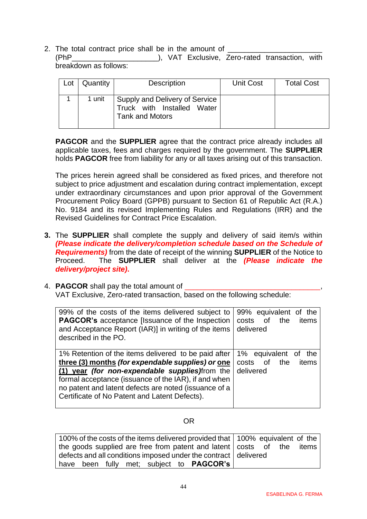2. The total contract price shall be in the amount of \_\_\_\_\_\_\_\_\_\_\_\_\_\_\_\_\_\_\_\_\_\_\_\_\_\_ (PhP\_\_\_\_\_\_\_\_\_\_\_\_\_\_\_\_\_\_\_\_\_), VAT Exclusive, Zero-rated transaction, with breakdown as follows:

| Lot | Quantity | <b>Description</b>                                                                     | <b>Unit Cost</b> | <b>Total Cost</b> |
|-----|----------|----------------------------------------------------------------------------------------|------------------|-------------------|
|     | 1 unit   | Supply and Delivery of Service<br>Truck with Installed Water<br><b>Tank and Motors</b> |                  |                   |

**PAGCOR** and the **SUPPLIER** agree that the contract price already includes all applicable taxes, fees and charges required by the government. The **SUPPLIER** holds **PAGCOR** free from liability for any or all taxes arising out of this transaction.

The prices herein agreed shall be considered as fixed prices, and therefore not subject to price adjustment and escalation during contract implementation, except under extraordinary circumstances and upon prior approval of the Government Procurement Policy Board (GPPB) pursuant to Section 61 of Republic Act (R.A.) No. 9184 and its revised Implementing Rules and Regulations (IRR) and the Revised Guidelines for Contract Price Escalation.

- **3.** The **SUPPLIER** shall complete the supply and delivery of said item/s within *(Please indicate the delivery/completion schedule based on the Schedule of Requirements)* from the date of receipt of the winning **SUPPLIER** of the Notice to Proceed. The **SUPPLIER** shall deliver at the *(Please indicate the delivery/project site)***.**
- 4. **PAGCOR** shall pay the total amount of VAT Exclusive, Zero-rated transaction, based on the following schedule:

| 99% of the costs of the items delivered subject to<br><b>PAGCOR's</b> acceptance [Issuance of the Inspection<br>and Acceptance Report (IAR)] in writing of the items<br>described in the PO.                                                                                                                                          | 99% equivalent of<br>the<br>of<br>costs<br>the<br>items<br>delivered |
|---------------------------------------------------------------------------------------------------------------------------------------------------------------------------------------------------------------------------------------------------------------------------------------------------------------------------------------|----------------------------------------------------------------------|
| 1% Retention of the items delivered to be paid after<br>three (3) months (for expendable supplies) or one<br>(1) year <i>(for non-expendable supplies)</i> from the<br>formal acceptance (issuance of the IAR), if and when<br>no patent and latent defects are noted (issuance of a<br>Certificate of No Patent and Latent Defects). | 1% equivalent of<br>the<br>0f<br>costs<br>the<br>items<br>delivered  |

#### OR

| 100% of the costs of the items delivered provided that 100% equivalent of the |  |
|-------------------------------------------------------------------------------|--|
| the goods supplied are free from patent and latent   costs of the items       |  |
| defects and all conditions imposed under the contract   delivered             |  |
| have been fully met; subject to <b>PAGCOR's</b>                               |  |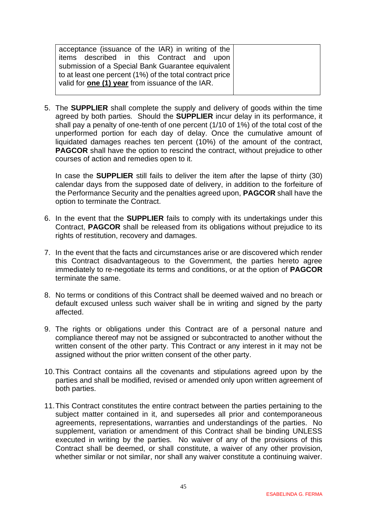| acceptance (issuance of the IAR) in writing of the       |  |
|----------------------------------------------------------|--|
| items described in this Contract and upon                |  |
| submission of a Special Bank Guarantee equivalent        |  |
| to at least one percent (1%) of the total contract price |  |
| valid for <b>one (1) year</b> from issuance of the IAR.  |  |
|                                                          |  |

5. The **SUPPLIER** shall complete the supply and delivery of goods within the time agreed by both parties. Should the **SUPPLIER** incur delay in its performance, it shall pay a penalty of one-tenth of one percent (1/10 of 1%) of the total cost of the unperformed portion for each day of delay. Once the cumulative amount of liquidated damages reaches ten percent (10%) of the amount of the contract, **PAGCOR** shall have the option to rescind the contract, without prejudice to other courses of action and remedies open to it.

In case the **SUPPLIER** still fails to deliver the item after the lapse of thirty (30) calendar days from the supposed date of delivery, in addition to the forfeiture of the Performance Security and the penalties agreed upon, **PAGCOR** shall have the option to terminate the Contract.

- 6. In the event that the **SUPPLIER** fails to comply with its undertakings under this Contract, **PAGCOR** shall be released from its obligations without prejudice to its rights of restitution, recovery and damages.
- 7. In the event that the facts and circumstances arise or are discovered which render this Contract disadvantageous to the Government, the parties hereto agree immediately to re-negotiate its terms and conditions, or at the option of **PAGCOR** terminate the same.
- 8. No terms or conditions of this Contract shall be deemed waived and no breach or default excused unless such waiver shall be in writing and signed by the party affected.
- 9. The rights or obligations under this Contract are of a personal nature and compliance thereof may not be assigned or subcontracted to another without the written consent of the other party. This Contract or any interest in it may not be assigned without the prior written consent of the other party.
- 10.This Contract contains all the covenants and stipulations agreed upon by the parties and shall be modified, revised or amended only upon written agreement of both parties.
- 11.This Contract constitutes the entire contract between the parties pertaining to the subject matter contained in it, and supersedes all prior and contemporaneous agreements, representations, warranties and understandings of the parties. No supplement, variation or amendment of this Contract shall be binding UNLESS executed in writing by the parties. No waiver of any of the provisions of this Contract shall be deemed, or shall constitute, a waiver of any other provision, whether similar or not similar, nor shall any waiver constitute a continuing waiver.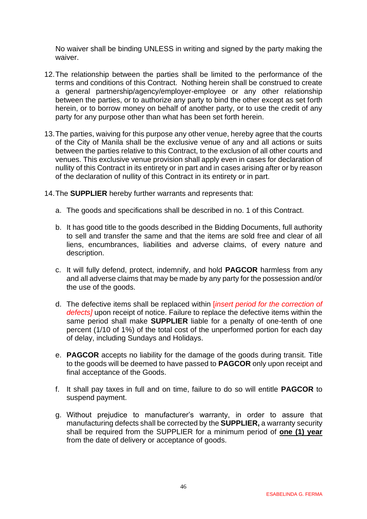No waiver shall be binding UNLESS in writing and signed by the party making the waiver.

- 12.The relationship between the parties shall be limited to the performance of the terms and conditions of this Contract. Nothing herein shall be construed to create a general partnership/agency/employer-employee or any other relationship between the parties, or to authorize any party to bind the other except as set forth herein, or to borrow money on behalf of another party, or to use the credit of any party for any purpose other than what has been set forth herein.
- 13.The parties, waiving for this purpose any other venue, hereby agree that the courts of the City of Manila shall be the exclusive venue of any and all actions or suits between the parties relative to this Contract, to the exclusion of all other courts and venues. This exclusive venue provision shall apply even in cases for declaration of nullity of this Contract in its entirety or in part and in cases arising after or by reason of the declaration of nullity of this Contract in its entirety or in part.
- 14.The **SUPPLIER** hereby further warrants and represents that:
	- a. The goods and specifications shall be described in no. 1 of this Contract.
	- b. It has good title to the goods described in the Bidding Documents, full authority to sell and transfer the same and that the items are sold free and clear of all liens, encumbrances, liabilities and adverse claims, of every nature and description.
	- c. It will fully defend, protect, indemnify, and hold **PAGCOR** harmless from any and all adverse claims that may be made by any party for the possession and/or the use of the goods.
	- d. The defective items shall be replaced within [*insert period for the correction of defects]* upon receipt of notice. Failure to replace the defective items within the same period shall make **SUPPLIER** liable for a penalty of one-tenth of one percent (1/10 of 1%) of the total cost of the unperformed portion for each day of delay, including Sundays and Holidays.
	- e. **PAGCOR** accepts no liability for the damage of the goods during transit. Title to the goods will be deemed to have passed to **PAGCOR** only upon receipt and final acceptance of the Goods.
	- f. It shall pay taxes in full and on time, failure to do so will entitle **PAGCOR** to suspend payment.
	- g. Without prejudice to manufacturer's warranty, in order to assure that manufacturing defects shall be corrected by the **SUPPLIER,** a warranty security shall be required from the SUPPLIER for a minimum period of **one (1) year** from the date of delivery or acceptance of goods.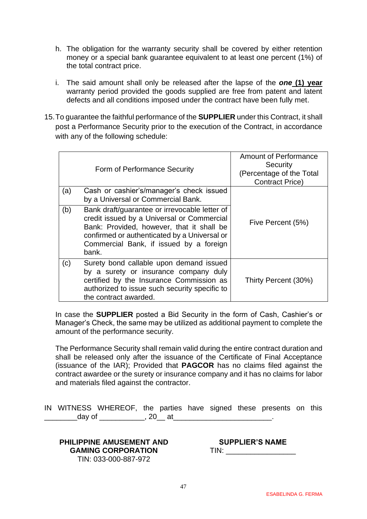- h. The obligation for the warranty security shall be covered by either retention money or a special bank guarantee equivalent to at least one percent (1%) of the total contract price.
- i. The said amount shall only be released after the lapse of the *one* **(1) year** warranty period provided the goods supplied are free from patent and latent defects and all conditions imposed under the contract have been fully met.
- 15.To guarantee the faithful performance of the **SUPPLIER** under this Contract, it shall post a Performance Security prior to the execution of the Contract, in accordance with any of the following schedule:

|     | Form of Performance Security                                                                                                                                                                                                                 | <b>Amount of Performance</b><br>Security<br>(Percentage of the Total<br><b>Contract Price)</b> |
|-----|----------------------------------------------------------------------------------------------------------------------------------------------------------------------------------------------------------------------------------------------|------------------------------------------------------------------------------------------------|
| (a) | Cash or cashier's/manager's check issued<br>by a Universal or Commercial Bank.                                                                                                                                                               |                                                                                                |
| (b) | Bank draft/guarantee or irrevocable letter of<br>credit issued by a Universal or Commercial<br>Bank: Provided, however, that it shall be<br>confirmed or authenticated by a Universal or<br>Commercial Bank, if issued by a foreign<br>bank. | Five Percent (5%)                                                                              |
| (c) | Surety bond callable upon demand issued<br>by a surety or insurance company duly<br>certified by the Insurance Commission as<br>authorized to issue such security specific to<br>the contract awarded.                                       | Thirty Percent (30%)                                                                           |

In case the **SUPPLIER** posted a Bid Security in the form of Cash, Cashier's or Manager's Check, the same may be utilized as additional payment to complete the amount of the performance security.

The Performance Security shall remain valid during the entire contract duration and shall be released only after the issuance of the Certificate of Final Acceptance (issuance of the IAR); Provided that **PAGCOR** has no claims filed against the contract awardee or the surety or insurance company and it has no claims for labor and materials filed against the contractor.

IN WITNESS WHEREOF, the parties have signed these presents on this \_day of \_\_\_\_\_\_\_\_\_\_\_, 20\_\_ at\_\_\_\_\_\_\_\_\_\_\_\_\_\_\_\_\_\_\_\_\_\_\_\_.

#### **PHILIPPINE AMUSEMENT AND GAMING CORPORATION** TIN: 033-000-887-972

**SUPPLIER'S NAME** TIN: \_\_\_\_\_\_\_\_\_\_\_\_\_\_\_\_\_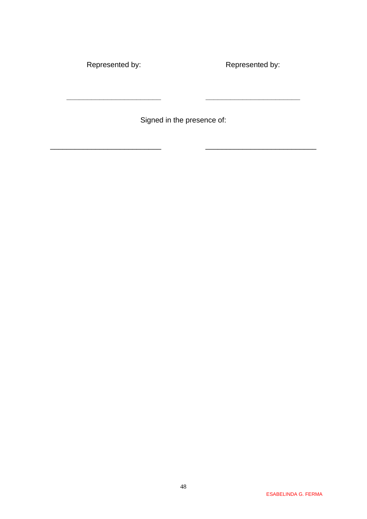Represented by:

**\_\_\_\_\_\_\_\_\_\_\_\_\_\_\_\_\_\_\_\_\_\_\_**

Represented by:

**\_\_\_\_\_\_\_\_\_\_\_\_\_\_\_\_\_\_\_\_\_\_\_**

Signed in the presence of:

\_\_\_\_\_\_\_\_\_\_\_\_\_\_\_\_\_\_\_\_\_\_\_\_\_\_\_ \_\_\_\_\_\_\_\_\_\_\_\_\_\_\_\_\_\_\_\_\_\_\_\_\_\_\_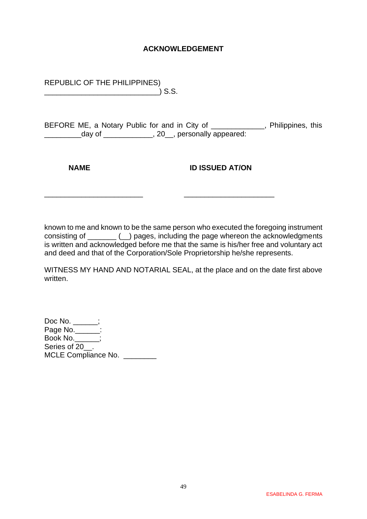#### **ACKNOWLEDGEMENT**

REPUBLIC OF THE PHILIPPINES) \_\_\_\_\_\_\_\_\_\_\_\_\_\_\_\_\_\_\_\_\_\_\_\_\_\_\_\_) S.S.

BEFORE ME, a Notary Public for and in City of \_\_\_\_\_\_\_\_\_\_\_\_\_, Philippines, this \_\_\_\_\_\_\_\_\_day of \_\_\_\_\_\_\_\_\_\_\_\_, 20\_\_, personally appeared:

**NAME ID ISSUED AT/ON** 

known to me and known to be the same person who executed the foregoing instrument consisting of \_\_\_\_\_\_\_ (\_\_) pages, including the page whereon the acknowledgments is written and acknowledged before me that the same is his/her free and voluntary act and deed and that of the Corporation/Sole Proprietorship he/she represents.

\_\_\_\_\_\_\_\_\_\_\_\_\_\_\_\_\_\_\_\_\_\_\_\_ \_\_\_\_\_\_\_\_\_\_\_\_\_\_\_\_\_\_\_\_\_\_

WITNESS MY HAND AND NOTARIAL SEAL, at the place and on the date first above written.

Doc No. \_\_\_\_\_\_; Page No.\_\_\_\_\_\_: Book No.\_\_\_\_\_\_; Series of 20<sup>.</sup> MCLE Compliance No.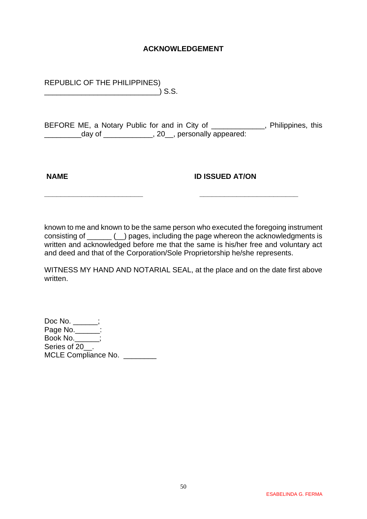#### **ACKNOWLEDGEMENT**

REPUBLIC OF THE PHILIPPINES) \_\_\_\_\_\_\_\_\_\_\_\_\_\_\_\_\_\_\_\_\_\_\_\_\_\_\_\_) S.S.

BEFORE ME, a Notary Public for and in City of \_\_\_\_\_\_\_\_\_\_\_\_, Philippines, this \_\_\_\_\_\_\_\_\_day of \_\_\_\_\_\_\_\_\_\_\_\_, 20\_\_, personally appeared:

**NAME ID ISSUED AT/ON** 

known to me and known to be the same person who executed the foregoing instrument consisting of \_\_\_\_\_\_ (\_\_) pages, including the page whereon the acknowledgments is written and acknowledged before me that the same is his/her free and voluntary act and deed and that of the Corporation/Sole Proprietorship he/she represents.

**\_\_\_\_\_\_\_\_\_\_\_\_\_\_\_\_\_\_\_\_\_\_\_\_ \_\_\_\_\_\_\_\_\_\_\_\_\_\_\_\_\_\_\_\_\_\_\_\_**

WITNESS MY HAND AND NOTARIAL SEAL, at the place and on the date first above written.

Doc No. \_\_\_\_\_\_; Page No.\_\_\_\_\_\_: Book No.\_\_\_\_\_\_; Series of 20<sup>.</sup> MCLE Compliance No.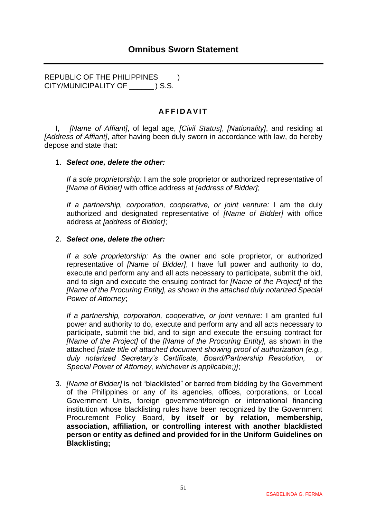<span id="page-50-0"></span>REPUBLIC OF THE PHILIPPINES ) CITY/MUNICIPALITY OF \_\_\_\_\_\_ ) S.S.

#### **A F F I D A V I T**

I, *[Name of Affiant]*, of legal age, *[Civil Status]*, *[Nationality]*, and residing at *[Address of Affiant]*, after having been duly sworn in accordance with law, do hereby depose and state that:

#### 1. *Select one, delete the other:*

*If a sole proprietorship:* I am the sole proprietor or authorized representative of *[Name of Bidder]* with office address at *[address of Bidder]*;

*If a partnership, corporation, cooperative, or joint venture:* I am the duly authorized and designated representative of *[Name of Bidder]* with office address at *[address of Bidder]*;

#### 2. *Select one, delete the other:*

*If a sole proprietorship:* As the owner and sole proprietor, or authorized representative of *[Name of Bidder]*, I have full power and authority to do, execute and perform any and all acts necessary to participate, submit the bid, and to sign and execute the ensuing contract for *[Name of the Project]* of the *[Name of the Procuring Entity], as shown in the attached duly notarized Special Power of Attorney*;

*If a partnership, corporation, cooperative, or joint venture:* I am granted full power and authority to do, execute and perform any and all acts necessary to participate, submit the bid, and to sign and execute the ensuing contract for *[Name of the Project]* of the *[Name of the Procuring Entity],* as shown in the attached *[state title of attached document showing proof of authorization (e.g., duly notarized Secretary's Certificate, Board/Partnership Resolution, or Special Power of Attorney, whichever is applicable;)]*;

3. *[Name of Bidder]* is not "blacklisted" or barred from bidding by the Government of the Philippines or any of its agencies, offices, corporations, or Local Government Units, foreign government/foreign or international financing institution whose blacklisting rules have been recognized by the Government Procurement Policy Board, **by itself or by relation, membership, association, affiliation, or controlling interest with another blacklisted person or entity as defined and provided for in the Uniform Guidelines on Blacklisting;**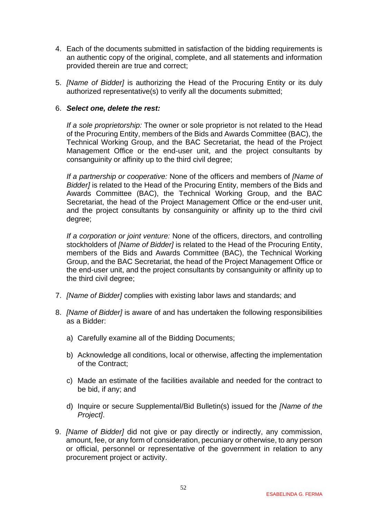- 4. Each of the documents submitted in satisfaction of the bidding requirements is an authentic copy of the original, complete, and all statements and information provided therein are true and correct;
- 5. *[Name of Bidder]* is authorizing the Head of the Procuring Entity or its duly authorized representative(s) to verify all the documents submitted;

#### 6. *Select one, delete the rest:*

*If a sole proprietorship:* The owner or sole proprietor is not related to the Head of the Procuring Entity, members of the Bids and Awards Committee (BAC), the Technical Working Group, and the BAC Secretariat, the head of the Project Management Office or the end-user unit, and the project consultants by consanguinity or affinity up to the third civil degree;

*If a partnership or cooperative:* None of the officers and members of *[Name of Bidder]* is related to the Head of the Procuring Entity, members of the Bids and Awards Committee (BAC), the Technical Working Group, and the BAC Secretariat, the head of the Project Management Office or the end-user unit, and the project consultants by consanguinity or affinity up to the third civil degree;

*If a corporation or joint venture:* None of the officers, directors, and controlling stockholders of *[Name of Bidder]* is related to the Head of the Procuring Entity, members of the Bids and Awards Committee (BAC), the Technical Working Group, and the BAC Secretariat, the head of the Project Management Office or the end-user unit, and the project consultants by consanguinity or affinity up to the third civil degree;

- 7. *[Name of Bidder]* complies with existing labor laws and standards; and
- 8. *[Name of Bidder]* is aware of and has undertaken the following responsibilities as a Bidder:
	- a) Carefully examine all of the Bidding Documents;
	- b) Acknowledge all conditions, local or otherwise, affecting the implementation of the Contract;
	- c) Made an estimate of the facilities available and needed for the contract to be bid, if any; and
	- d) Inquire or secure Supplemental/Bid Bulletin(s) issued for the *[Name of the Project]*.
- 9. *[Name of Bidder]* did not give or pay directly or indirectly, any commission, amount, fee, or any form of consideration, pecuniary or otherwise, to any person or official, personnel or representative of the government in relation to any procurement project or activity.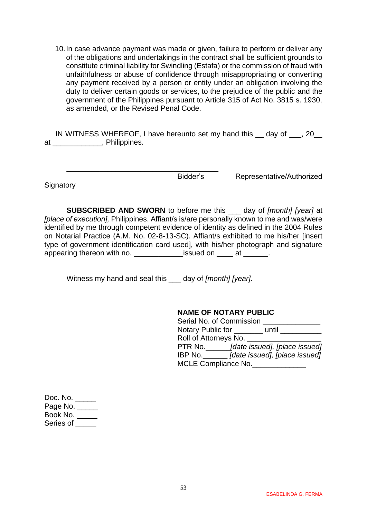10.In case advance payment was made or given, failure to perform or deliver any of the obligations and undertakings in the contract shall be sufficient grounds to constitute criminal liability for Swindling (Estafa) or the commission of fraud with unfaithfulness or abuse of confidence through misappropriating or converting any payment received by a person or entity under an obligation involving the duty to deliver certain goods or services, to the prejudice of the public and the government of the Philippines pursuant to Article 315 of Act No. 3815 s. 1930, as amended, or the Revised Penal Code.

IN WITNESS WHEREOF, I have hereunto set my hand this \_\_ day of \_\_\_, 20\_\_ at \_\_\_\_\_\_\_\_\_\_\_\_, Philippines.

**Signatory** 

Bidder's Representative/Authorized

**SUBSCRIBED AND SWORN** to before me this \_\_\_ day of *[month] [year]* at *[place of execution],* Philippines. Affiant/s is/are personally known to me and was/were identified by me through competent evidence of identity as defined in the 2004 Rules on Notarial Practice (A.M. No. 02-8-13-SC). Affiant/s exhibited to me his/her [insert type of government identification card used], with his/her photograph and signature appearing thereon with no. The same issued on the at the same of the same is at the same is a set of the same o

Witness my hand and seal this \_\_\_ day of *[month] [year]*.

\_\_\_\_\_\_\_\_\_\_\_\_\_\_\_\_\_\_\_\_\_\_\_\_\_\_\_\_\_\_\_\_\_\_\_\_\_

#### **NAME OF NOTARY PUBLIC**

| Serial No. of Commission   |                               |
|----------------------------|-------------------------------|
| Notary Public for          | until                         |
| Roll of Attorneys No.      |                               |
| PTR No.                    | [date issued], [place issued] |
| IBP No.                    | [date issued], [place issued] |
| <b>MCLE Compliance No.</b> |                               |

| Doc. No.   |  |
|------------|--|
| Page No. _ |  |
| Book No.   |  |
| Series of  |  |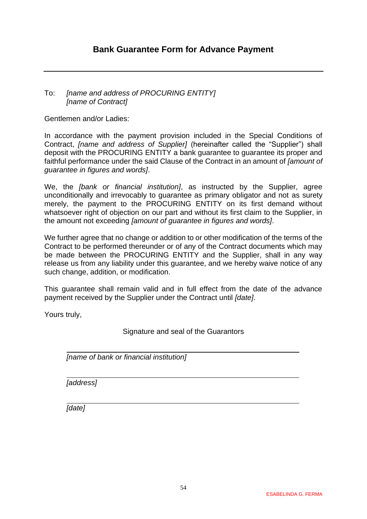#### <span id="page-53-0"></span>To: *[name and address of PROCURING ENTITY] [name of Contract]*

Gentlemen and/or Ladies:

In accordance with the payment provision included in the Special Conditions of Contract, *[name and address of Supplier]* (hereinafter called the "Supplier") shall deposit with the PROCURING ENTITY a bank guarantee to guarantee its proper and faithful performance under the said Clause of the Contract in an amount of *[amount of guarantee in figures and words]*.

We, the *[bank or financial institution]*, as instructed by the Supplier, agree unconditionally and irrevocably to guarantee as primary obligator and not as surety merely, the payment to the PROCURING ENTITY on its first demand without whatsoever right of objection on our part and without its first claim to the Supplier, in the amount not exceeding *[amount of guarantee in figures and words]*.

We further agree that no change or addition to or other modification of the terms of the Contract to be performed thereunder or of any of the Contract documents which may be made between the PROCURING ENTITY and the Supplier, shall in any way release us from any liability under this guarantee, and we hereby waive notice of any such change, addition, or modification.

This guarantee shall remain valid and in full effect from the date of the advance payment received by the Supplier under the Contract until *[date]*.

Yours truly,

Signature and seal of the Guarantors

*[name of bank or financial institution]*

*[address]*

*[date]*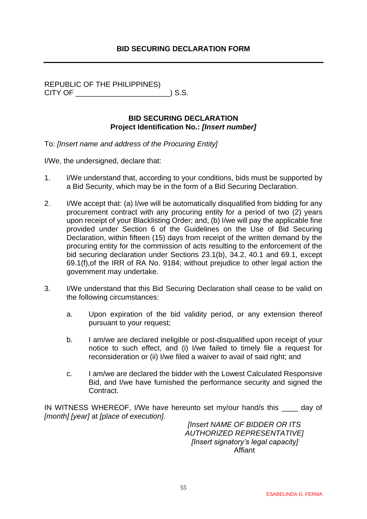#### **BID SECURING DECLARATION FORM**

<span id="page-54-0"></span>REPUBLIC OF THE PHILIPPINES) CITY OF \_\_\_\_\_\_\_\_\_\_\_\_\_\_\_\_\_\_\_\_\_\_\_) S.S.

#### **BID SECURING DECLARATION Project Identification No.:** *[Insert number]*

To: *[Insert name and address of the Procuring Entity]*

I/We, the undersigned, declare that:

- 1. I/We understand that, according to your conditions, bids must be supported by a Bid Security, which may be in the form of a Bid Securing Declaration.
- 2. I/We accept that: (a) I/we will be automatically disqualified from bidding for any procurement contract with any procuring entity for a period of two (2) years upon receipt of your Blacklisting Order; and, (b) I/we will pay the applicable fine provided under Section 6 of the Guidelines on the Use of Bid Securing Declaration, within fifteen (15) days from receipt of the written demand by the procuring entity for the commission of acts resulting to the enforcement of the bid securing declaration under Sections 23.1(b), 34.2, 40.1 and 69.1, except 69.1(f),of the IRR of RA No. 9184; without prejudice to other legal action the government may undertake.
- 3. I/We understand that this Bid Securing Declaration shall cease to be valid on the following circumstances:
	- a. Upon expiration of the bid validity period, or any extension thereof pursuant to your request;
	- b. I am/we are declared ineligible or post-disqualified upon receipt of your notice to such effect, and (i) I/we failed to timely file a request for reconsideration or (ii) I/we filed a waiver to avail of said right; and
	- c. I am/we are declared the bidder with the Lowest Calculated Responsive Bid, and I/we have furnished the performance security and signed the Contract.

IN WITNESS WHEREOF, I/We have hereunto set my/our hand/s this day of *[month] [year]* at *[place of execution]*.

*[Insert NAME OF BIDDER OR ITS AUTHORIZED REPRESENTATIVE] [Insert signatory's legal capacity]* Affiant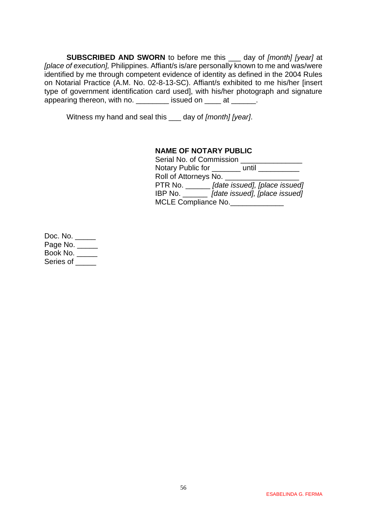**SUBSCRIBED AND SWORN** to before me this \_\_\_ day of *[month] [year]* at *[place of execution],* Philippines. Affiant/s is/are personally known to me and was/were identified by me through competent evidence of identity as defined in the 2004 Rules on Notarial Practice (A.M. No. 02-8-13-SC). Affiant/s exhibited to me his/her [insert type of government identification card used], with his/her photograph and signature appearing thereon, with no. \_\_\_\_\_\_\_\_\_ issued on \_\_\_\_ at \_\_\_\_\_\_.

Witness my hand and seal this \_\_\_ day of *[month] [year]*.

#### **NAME OF NOTARY PUBLIC**

| Serial No. of Commission |                               |
|--------------------------|-------------------------------|
| Notary Public for        | until                         |
| Roll of Attorneys No.    |                               |
| PTR No. $\_\_\_\_\_\_\$  | [date issued], [place issued] |
| IBP No.                  | [date issued], [place issued] |
| MCLE Compliance No.      |                               |

Doc. No. \_\_\_\_\_ Page No. \_\_\_\_\_ Book No. \_\_\_\_\_ Series of \_\_\_\_\_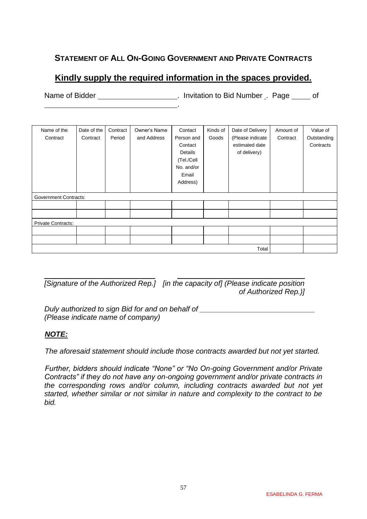## <span id="page-56-0"></span>**STATEMENT OF ALL ON-GOING GOVERNMENT AND PRIVATE CONTRACTS**

# **Kindly supply the required information in the spaces provided.**

Name of Bidder **Name of Bidder Name of Bidder . Invitation to Bid Number** . Page of .

| Name of the                  | Date of the | Contract | Owner's Name | Contact    | Kinds of | Date of Delivery | Amount of | Value of    |  |  |
|------------------------------|-------------|----------|--------------|------------|----------|------------------|-----------|-------------|--|--|
| Contract                     | Contract    | Period   | and Address  | Person and | Goods    | (Please indicate | Contract  | Outstanding |  |  |
|                              |             |          |              | Contact    |          | estimated date   |           | Contracts   |  |  |
|                              |             |          |              | Details    |          | of delivery)     |           |             |  |  |
|                              |             |          |              | (Tel./Cell |          |                  |           |             |  |  |
|                              |             |          |              | No. and/or |          |                  |           |             |  |  |
|                              |             |          |              | Email      |          |                  |           |             |  |  |
|                              |             |          |              | Address)   |          |                  |           |             |  |  |
|                              |             |          |              |            |          |                  |           |             |  |  |
| <b>Government Contracts:</b> |             |          |              |            |          |                  |           |             |  |  |
|                              |             |          |              |            |          |                  |           |             |  |  |
|                              |             |          |              |            |          |                  |           |             |  |  |
| <b>Private Contracts:</b>    |             |          |              |            |          |                  |           |             |  |  |
|                              |             |          |              |            |          |                  |           |             |  |  |
|                              |             |          |              |            |          |                  |           |             |  |  |
|                              | Total       |          |              |            |          |                  |           |             |  |  |

*[Signature of the Authorized Rep.] [in the capacity of] (Please indicate position of Authorized Rep.)]*

*Duly authorized to sign Bid for and on behalf of*  $\blacksquare$ *(Please indicate name of company)*

#### *NOTE:*

*The aforesaid statement should include those contracts awarded but not yet started.*

*Further, bidders should indicate "None" or "No On-going Government and/or Private Contracts" if they do not have any on-ongoing government and/or private contracts in the corresponding rows and/or column, including contracts awarded but not yet started, whether similar or not similar in nature and complexity to the contract to be bid.*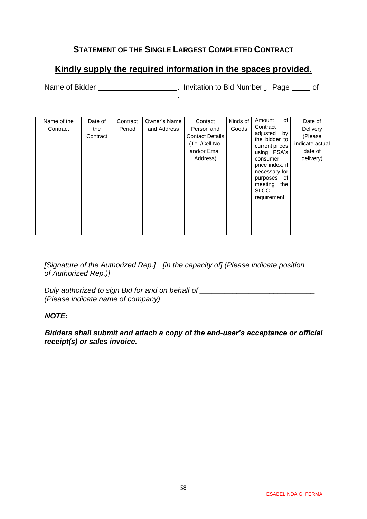## **STATEMENT OF THE SINGLE LARGEST COMPLETED CONTRACT**

# <span id="page-57-0"></span>**Kindly supply the required information in the spaces provided.**

.

Name of Bidder **Name of Bidder Name of Bidder name is a structure of the United Structure Control of August** 2016

| Name of the<br>Contract | Date of<br>the<br>Contract | Contract<br>Period | Owner's Name<br>and Address | Contact<br>Person and<br><b>Contact Details</b><br>(Tel./Cell No.<br>and/or Email<br>Address) | Kinds of<br>Goods | of<br>Amount<br>Contract<br>adjusted<br>by<br>the bidder to<br>current prices<br>using PSA's<br>consumer<br>price index, if<br>necessary for<br>purposes of<br>meeting<br>the<br><b>SLCC</b><br>requirement; | Date of<br>Delivery<br>(Please<br>indicate actual<br>date of<br>delivery) |
|-------------------------|----------------------------|--------------------|-----------------------------|-----------------------------------------------------------------------------------------------|-------------------|--------------------------------------------------------------------------------------------------------------------------------------------------------------------------------------------------------------|---------------------------------------------------------------------------|
|                         |                            |                    |                             |                                                                                               |                   |                                                                                                                                                                                                              |                                                                           |
|                         |                            |                    |                             |                                                                                               |                   |                                                                                                                                                                                                              |                                                                           |
|                         |                            |                    |                             |                                                                                               |                   |                                                                                                                                                                                                              |                                                                           |

*[Signature of the Authorized Rep.] [in the capacity of] (Please indicate position of Authorized Rep.)]*

*Duly authorized to sign Bid for and on behalf of \_\_\_\_\_\_\_\_\_\_\_\_\_\_\_\_\_\_\_\_\_\_\_\_\_\_\_\_ (Please indicate name of company)*

#### *NOTE:*

*Bidders shall submit and attach a copy of the end-user's acceptance or official receipt(s) or sales invoice.*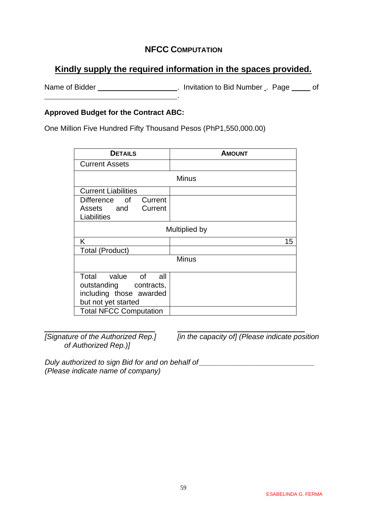### **NFCC COMPUTATION**

# <span id="page-58-0"></span>**Kindly supply the required information in the spaces provided.**

Name of Bidder \_\_\_\_\_\_\_\_\_\_\_\_\_\_\_\_\_\_\_\_\_\_\_. Invitation to Bid Number \_. Page \_\_\_\_\_ of .

#### **Approved Budget for the Contract ABC:**

One Million Five Hundred Fifty Thousand Pesos (PhP1,550,000.00)

| <b>DETAILS</b>                                                               | <b>AMOUNT</b> |  |  |  |  |  |
|------------------------------------------------------------------------------|---------------|--|--|--|--|--|
| <b>Current Assets</b>                                                        |               |  |  |  |  |  |
| <b>Minus</b>                                                                 |               |  |  |  |  |  |
| <b>Current Liabilities</b>                                                   |               |  |  |  |  |  |
| Current<br>Difference of                                                     |               |  |  |  |  |  |
| Current<br>Assets and<br>Liabilities                                         |               |  |  |  |  |  |
| Multiplied by                                                                |               |  |  |  |  |  |
| K.                                                                           | 15            |  |  |  |  |  |
| Total (Product)                                                              |               |  |  |  |  |  |
| <b>Minus</b>                                                                 |               |  |  |  |  |  |
| Total value of<br>all a<br>outstanding contracts,<br>including those awarded |               |  |  |  |  |  |
| but not yet started                                                          |               |  |  |  |  |  |
| <b>Total NFCC Computation</b>                                                |               |  |  |  |  |  |

*of Authorized Rep.)]*

*[Signature of the Authorized Rep.] [in the capacity of] (Please indicate position* 

*Duly authorized to sign Bid for and on behalf of with all and the set of the set of the set of the set of the set of the set of the set of the set of the set of the set of the set of the set of the set of the set of the (Please indicate name of company)*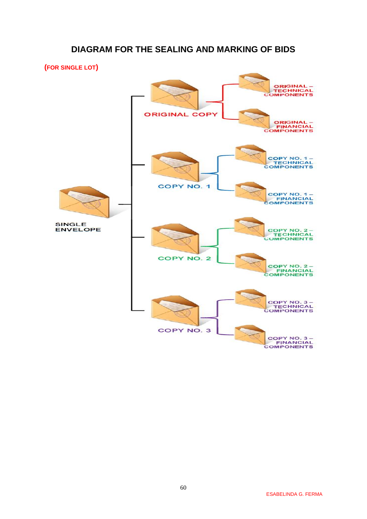### **DIAGRAM FOR THE SEALING AND MARKING OF BIDS**

<span id="page-59-0"></span>**(FOR SINGLE LOT)**